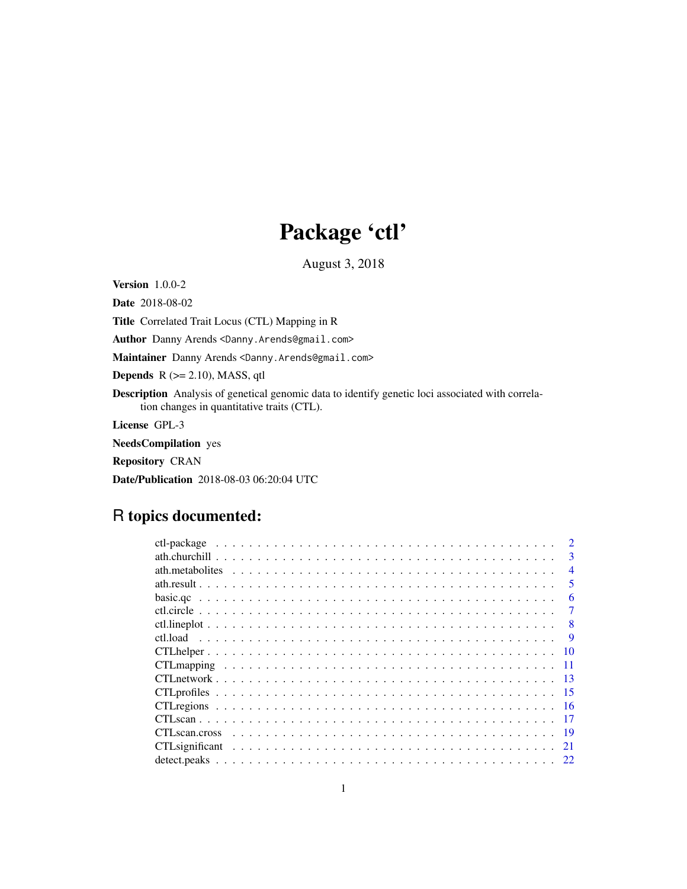## Package 'ctl'

August 3, 2018

<span id="page-0-0"></span>Version 1.0.0-2

Date 2018-08-02

Title Correlated Trait Locus (CTL) Mapping in R

Author Danny Arends <Danny.Arends@gmail.com>

Maintainer Danny Arends <Danny.Arends@gmail.com>

**Depends**  $R$  ( $>= 2.10$ ), MASS, qtl

Description Analysis of genetical genomic data to identify genetic loci associated with correlation changes in quantitative traits (CTL).

License GPL-3

NeedsCompilation yes

Repository CRAN

Date/Publication 2018-08-03 06:20:04 UTC

## R topics documented:

|      | $\mathcal{D}$  |
|------|----------------|
|      | $\mathbf{3}$   |
|      | $\overline{4}$ |
|      | 5              |
|      | 6              |
|      | 7              |
|      | 8              |
|      | -9             |
| 10   |                |
|      |                |
| -13  |                |
| - 15 |                |
|      |                |
|      |                |
| -19  |                |
| 21   |                |
|      |                |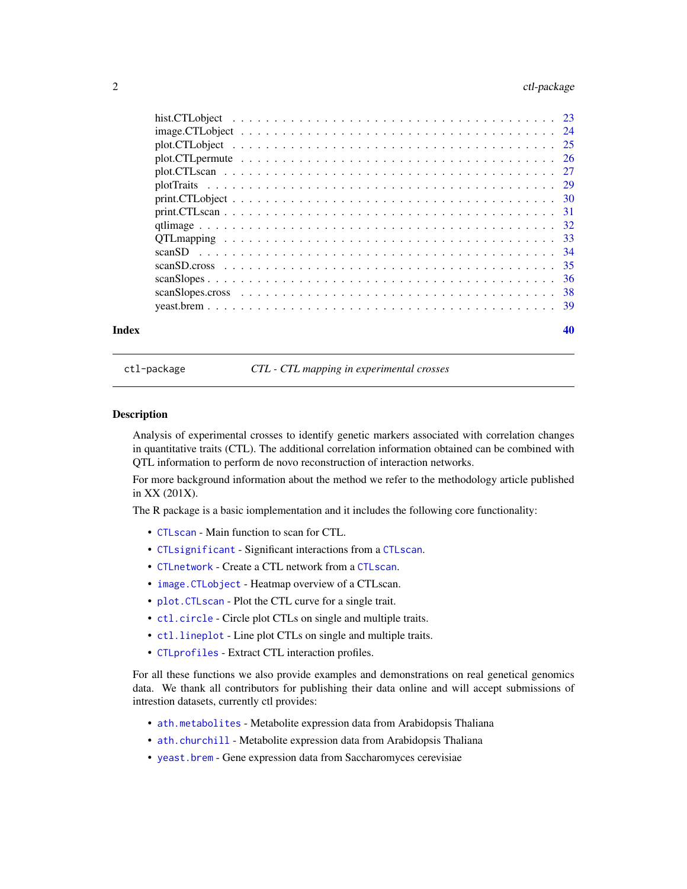## <span id="page-1-0"></span>2 ctl-package ctl-package

| Index | 40 |
|-------|----|

ctl-package *CTL - CTL mapping in experimental crosses*

#### Description

Analysis of experimental crosses to identify genetic markers associated with correlation changes in quantitative traits (CTL). The additional correlation information obtained can be combined with QTL information to perform de novo reconstruction of interaction networks.

For more background information about the method we refer to the methodology article published in XX (201X).

The R package is a basic iomplementation and it includes the following core functionality:

- [CTLscan](#page-16-1) Main function to scan for CTL.
- [CTLsignificant](#page-20-1) Significant interactions from a [CTLscan](#page-16-1).
- [CTLnetwork](#page-12-1) Create a CTL network from a [CTLscan](#page-16-1).
- [image.CTLobject](#page-23-1) Heatmap overview of a CTLscan.
- [plot.CTLscan](#page-26-1) Plot the CTL curve for a single trait.
- [ctl.circle](#page-6-1) Circle plot CTLs on single and multiple traits.
- [ctl.lineplot](#page-7-1) Line plot CTLs on single and multiple traits.
- [CTLprofiles](#page-14-1) Extract CTL interaction profiles.

For all these functions we also provide examples and demonstrations on real genetical genomics data. We thank all contributors for publishing their data online and will accept submissions of intrestion datasets, currently ctl provides:

- [ath.metabolites](#page-3-1) Metabolite expression data from Arabidopsis Thaliana
- [ath.churchill](#page-2-1) Metabolite expression data from Arabidopsis Thaliana
- [yeast.brem](#page-38-1) Gene expression data from Saccharomyces cerevisiae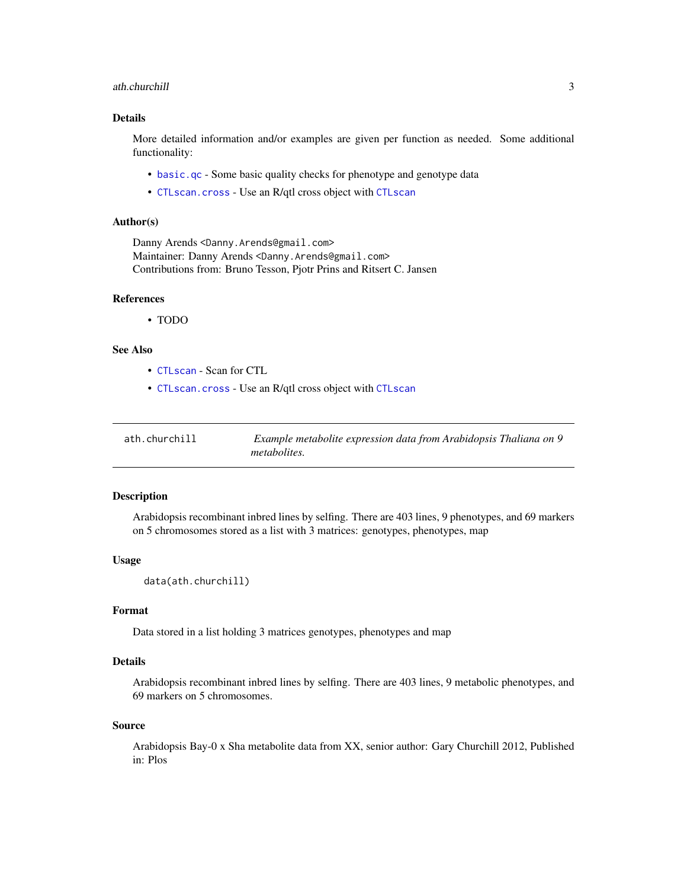#### <span id="page-2-0"></span>ath.churchill 3

#### Details

More detailed information and/or examples are given per function as needed. Some additional functionality:

- [basic.qc](#page-5-1) Some basic quality checks for phenotype and genotype data
- [CTLscan.cross](#page-18-1) Use an R/qtl cross object with [CTLscan](#page-16-1)

#### Author(s)

Danny Arends <Danny.Arends@gmail.com> Maintainer: Danny Arends <Danny.Arends@gmail.com> Contributions from: Bruno Tesson, Pjotr Prins and Ritsert C. Jansen

#### References

• TODO

#### See Also

- [CTLscan](#page-16-1) Scan for CTL
- [CTLscan.cross](#page-18-1) Use an R/qtl cross object with [CTLscan](#page-16-1)

<span id="page-2-1"></span>

| ath.churchill | Example metabolite expression data from Arabidopsis Thaliana on 9 |
|---------------|-------------------------------------------------------------------|
|               | <i>metabolites.</i>                                               |

#### Description

Arabidopsis recombinant inbred lines by selfing. There are 403 lines, 9 phenotypes, and 69 markers on 5 chromosomes stored as a list with 3 matrices: genotypes, phenotypes, map

#### Usage

data(ath.churchill)

#### Format

Data stored in a list holding 3 matrices genotypes, phenotypes and map

## Details

Arabidopsis recombinant inbred lines by selfing. There are 403 lines, 9 metabolic phenotypes, and 69 markers on 5 chromosomes.

#### Source

Arabidopsis Bay-0 x Sha metabolite data from XX, senior author: Gary Churchill 2012, Published in: Plos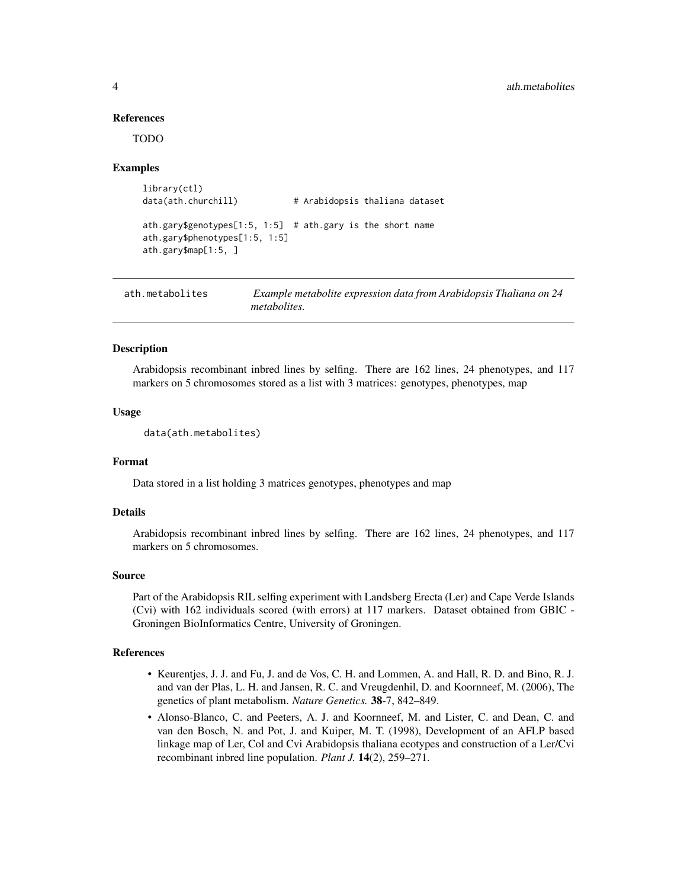#### References

TODO

#### Examples

```
library(ctl)
data(ath.churchill) # Arabidopsis thaliana dataset
ath.gary$genotypes[1:5, 1:5] # ath.gary is the short name
ath.gary$phenotypes[1:5, 1:5]
ath.gary$map[1:5, ]
```
<span id="page-3-1"></span>

| ath.metabolites | Example metabolite expression data from Arabidopsis Thaliana on 24 |
|-----------------|--------------------------------------------------------------------|
|                 | <i>metabolites.</i>                                                |

#### **Description**

Arabidopsis recombinant inbred lines by selfing. There are 162 lines, 24 phenotypes, and 117 markers on 5 chromosomes stored as a list with 3 matrices: genotypes, phenotypes, map

#### Usage

data(ath.metabolites)

#### Format

Data stored in a list holding 3 matrices genotypes, phenotypes and map

#### Details

Arabidopsis recombinant inbred lines by selfing. There are 162 lines, 24 phenotypes, and 117 markers on 5 chromosomes.

#### Source

Part of the Arabidopsis RIL selfing experiment with Landsberg Erecta (Ler) and Cape Verde Islands (Cvi) with 162 individuals scored (with errors) at 117 markers. Dataset obtained from GBIC - Groningen BioInformatics Centre, University of Groningen.

#### References

- Keurentjes, J. J. and Fu, J. and de Vos, C. H. and Lommen, A. and Hall, R. D. and Bino, R. J. and van der Plas, L. H. and Jansen, R. C. and Vreugdenhil, D. and Koornneef, M. (2006), The genetics of plant metabolism. *Nature Genetics.* 38-7, 842–849.
- Alonso-Blanco, C. and Peeters, A. J. and Koornneef, M. and Lister, C. and Dean, C. and van den Bosch, N. and Pot, J. and Kuiper, M. T. (1998), Development of an AFLP based linkage map of Ler, Col and Cvi Arabidopsis thaliana ecotypes and construction of a Ler/Cvi recombinant inbred line population. *Plant J.* 14(2), 259–271.

<span id="page-3-0"></span>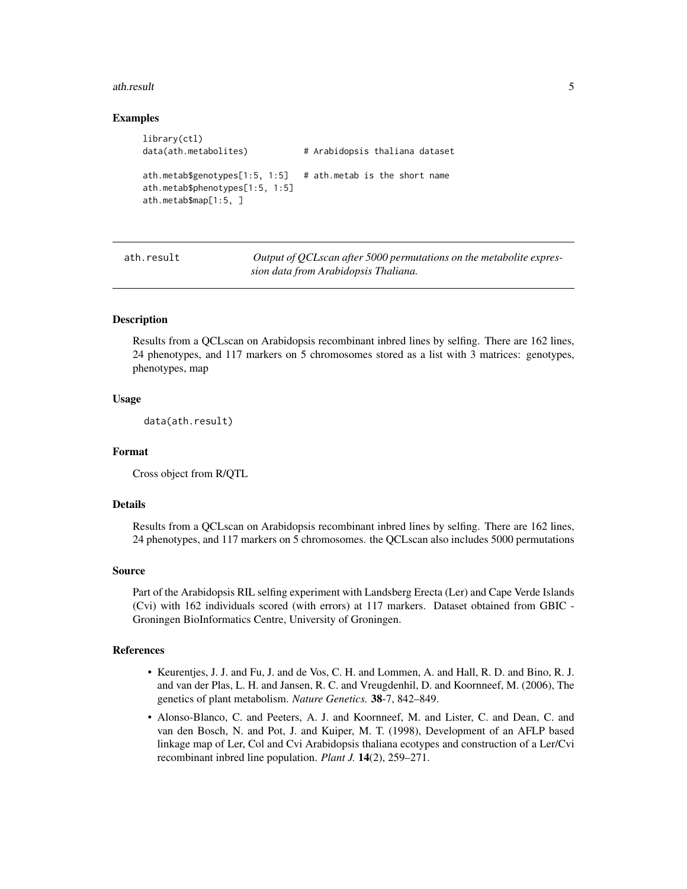#### <span id="page-4-0"></span>ath.result 5

#### Examples

```
library(ctl)
data(ath.metabolites) # Arabidopsis thaliana dataset
ath.metab$genotypes[1:5, 1:5] # ath.metab is the short name
ath.metab$phenotypes[1:5, 1:5]
ath.metab$map[1:5, ]
```
ath.result *Output of QCLscan after 5000 permutations on the metabolite expression data from Arabidopsis Thaliana.*

#### Description

Results from a QCLscan on Arabidopsis recombinant inbred lines by selfing. There are 162 lines, 24 phenotypes, and 117 markers on 5 chromosomes stored as a list with 3 matrices: genotypes, phenotypes, map

#### Usage

data(ath.result)

#### Format

Cross object from R/QTL

#### Details

Results from a QCLscan on Arabidopsis recombinant inbred lines by selfing. There are 162 lines, 24 phenotypes, and 117 markers on 5 chromosomes. the QCLscan also includes 5000 permutations

#### Source

Part of the Arabidopsis RIL selfing experiment with Landsberg Erecta (Ler) and Cape Verde Islands (Cvi) with 162 individuals scored (with errors) at 117 markers. Dataset obtained from GBIC - Groningen BioInformatics Centre, University of Groningen.

#### References

- Keurentjes, J. J. and Fu, J. and de Vos, C. H. and Lommen, A. and Hall, R. D. and Bino, R. J. and van der Plas, L. H. and Jansen, R. C. and Vreugdenhil, D. and Koornneef, M. (2006), The genetics of plant metabolism. *Nature Genetics.* 38-7, 842–849.
- Alonso-Blanco, C. and Peeters, A. J. and Koornneef, M. and Lister, C. and Dean, C. and van den Bosch, N. and Pot, J. and Kuiper, M. T. (1998), Development of an AFLP based linkage map of Ler, Col and Cvi Arabidopsis thaliana ecotypes and construction of a Ler/Cvi recombinant inbred line population. *Plant J.* 14(2), 259–271.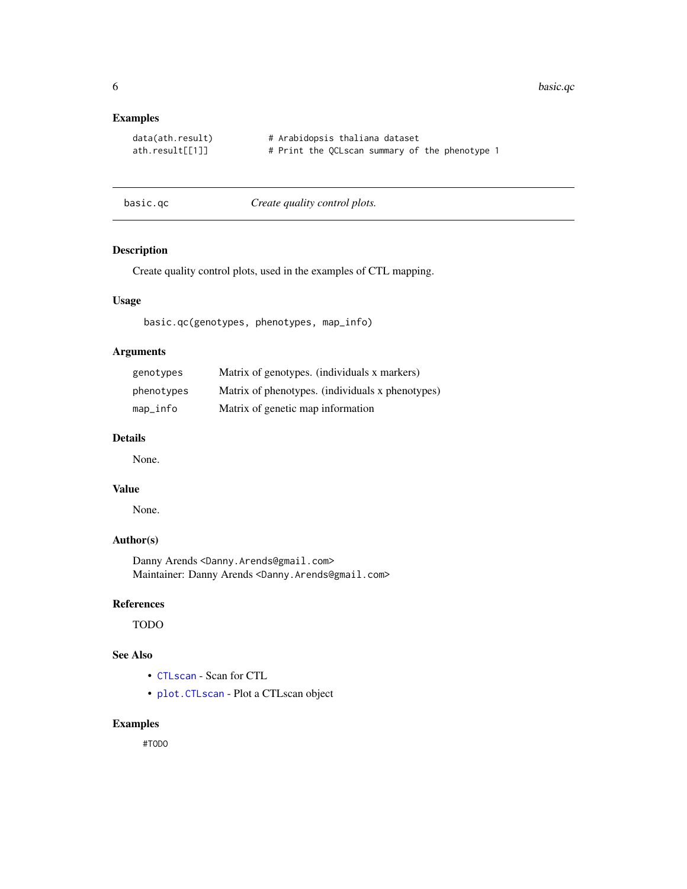<span id="page-5-0"></span>6 basic.qc

## Examples

| data(ath.result) |  | # Arabidopsis thaliana dataset |  |                                                |  |
|------------------|--|--------------------------------|--|------------------------------------------------|--|
| ath.readt[[1]]   |  |                                |  | # Print the QCLscan summary of the phenotype 1 |  |

<span id="page-5-1"></span>basic.qc *Create quality control plots.*

## Description

Create quality control plots, used in the examples of CTL mapping.

## Usage

basic.qc(genotypes, phenotypes, map\_info)

## Arguments

| genotypes  | Matrix of genotypes. (individuals x markers)     |
|------------|--------------------------------------------------|
| phenotypes | Matrix of phenotypes. (individuals x phenotypes) |
| map_info   | Matrix of genetic map information                |

## Details

None.

#### Value

None.

## Author(s)

Danny Arends <Danny.Arends@gmail.com> Maintainer: Danny Arends <Danny.Arends@gmail.com>

#### References

TODO

## See Also

- [CTLscan](#page-16-1) Scan for CTL
- [plot.CTLscan](#page-26-1) Plot a CTLscan object

## Examples

#TODO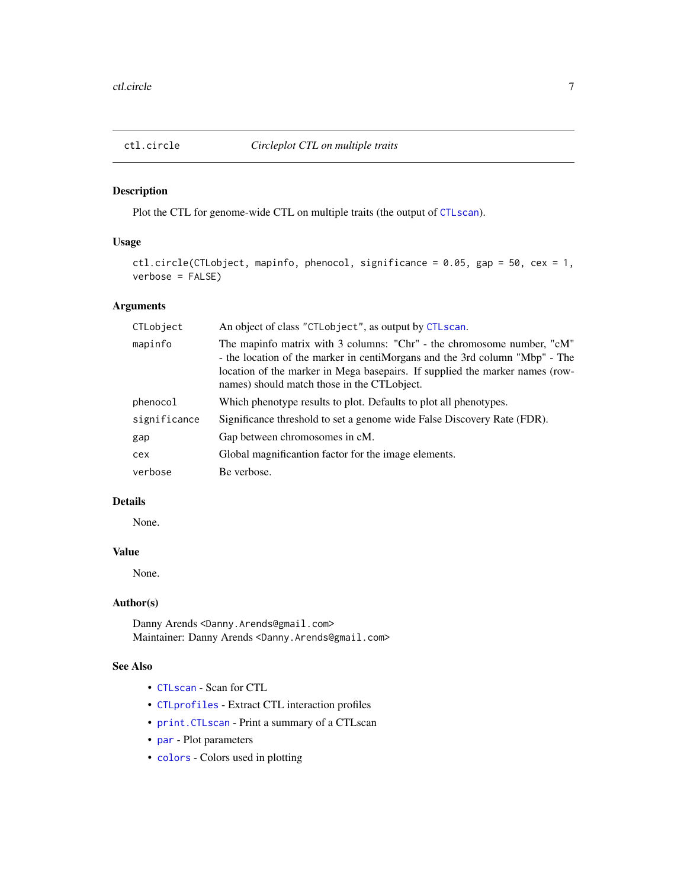<span id="page-6-1"></span><span id="page-6-0"></span>

## Description

Plot the CTL for genome-wide CTL on multiple traits (the output of [CTLscan](#page-16-1)).

## Usage

```
ctl.circle(CTLobject, mapinfo, phenocol, significance = 0.05, gap = 50, cex = 1,
verbose = FALSE)
```
## Arguments

| CTLobject    | An object of class "CTLobject", as output by CTLscan.                                                                                                                                                                                                                                 |
|--------------|---------------------------------------------------------------------------------------------------------------------------------------------------------------------------------------------------------------------------------------------------------------------------------------|
| mapinfo      | The mapinfo matrix with 3 columns: "Chr" - the chromosome number, "cM"<br>- the location of the marker in centiMorgans and the 3rd column "Mbp" - The<br>location of the marker in Mega basepairs. If supplied the marker names (row-<br>names) should match those in the CTL object. |
| phenocol     | Which phenotype results to plot. Defaults to plot all phenotypes.                                                                                                                                                                                                                     |
| significance | Significance threshold to set a genome wide False Discovery Rate (FDR).                                                                                                                                                                                                               |
| gap          | Gap between chromosomes in cM.                                                                                                                                                                                                                                                        |
| cex          | Global magnificantion factor for the image elements.                                                                                                                                                                                                                                  |
| verbose      | Be verbose.                                                                                                                                                                                                                                                                           |

## Details

None.

## Value

None.

#### Author(s)

Danny Arends <Danny.Arends@gmail.com> Maintainer: Danny Arends <Danny.Arends@gmail.com>

## See Also

- [CTLscan](#page-16-1) Scan for CTL
- [CTLprofiles](#page-14-1) Extract CTL interaction profiles
- [print.CTLscan](#page-30-1) Print a summary of a CTLscan
- [par](#page-0-0) Plot parameters
- [colors](#page-0-0) Colors used in plotting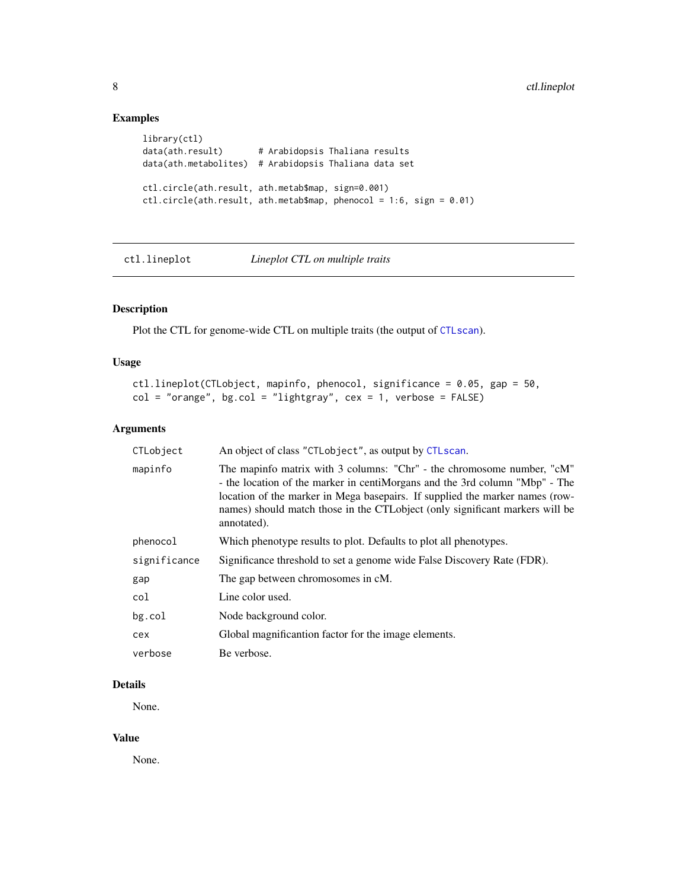## Examples

```
library(ctl)
data(ath.result) # Arabidopsis Thaliana results
data(ath.metabolites) # Arabidopsis Thaliana data set
ctl.circle(ath.result, ath.metab$map, sign=0.001)
ctl.circle(ath.result, ath.metab$map, phenocol = 1:6, sign = 0.01)
```
## <span id="page-7-1"></span>ctl.lineplot *Lineplot CTL on multiple traits*

## Description

Plot the CTL for genome-wide CTL on multiple traits (the output of [CTLscan](#page-16-1)).

## Usage

```
ctl.lineplot(CTLobject, mapinfo, phenocol, significance = 0.05, gap = 50,
col = "orange", bg,col = "lightgray", cex = 1, verbose = FALSE)
```
## Arguments

| CTLobject    | An object of class "CTLobject", as output by CTLscan.                                                                                                                                                                                                                                                                                |
|--------------|--------------------------------------------------------------------------------------------------------------------------------------------------------------------------------------------------------------------------------------------------------------------------------------------------------------------------------------|
| mapinfo      | The mapinfo matrix with 3 columns: "Chr" - the chromosome number, "cM"<br>- the location of the marker in centiMorgans and the 3rd column "Mbp" - The<br>location of the marker in Mega basepairs. If supplied the marker names (row-<br>names) should match those in the CTLobject (only significant markers will be<br>annotated). |
| phenocol     | Which phenotype results to plot. Defaults to plot all phenotypes.                                                                                                                                                                                                                                                                    |
| significance | Significance threshold to set a genome wide False Discovery Rate (FDR).                                                                                                                                                                                                                                                              |
| gap          | The gap between chromosomes in cM.                                                                                                                                                                                                                                                                                                   |
| col          | Line color used.                                                                                                                                                                                                                                                                                                                     |
| bg.col       | Node background color.                                                                                                                                                                                                                                                                                                               |
| cex          | Global magnificantion factor for the image elements.                                                                                                                                                                                                                                                                                 |
| verbose      | Be verbose.                                                                                                                                                                                                                                                                                                                          |

## Details

None.

## Value

None.

<span id="page-7-0"></span>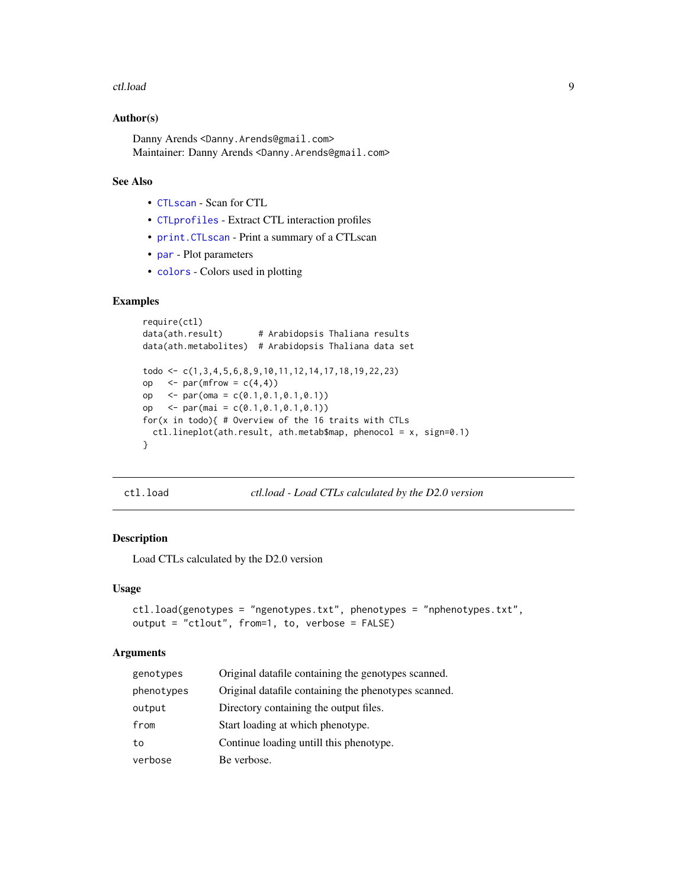#### <span id="page-8-0"></span>ctl.load 9

#### Author(s)

Danny Arends <Danny.Arends@gmail.com> Maintainer: Danny Arends <Danny.Arends@gmail.com>

## See Also

- [CTLscan](#page-16-1) Scan for CTL
- [CTLprofiles](#page-14-1) Extract CTL interaction profiles
- [print.CTLscan](#page-30-1) Print a summary of a CTLscan
- [par](#page-0-0) Plot parameters
- [colors](#page-0-0) Colors used in plotting

#### Examples

```
require(ctl)
data(ath.result) # Arabidopsis Thaliana results
data(ath.metabolites) # Arabidopsis Thaliana data set
todo <- c(1,3,4,5,6,8,9,10,11,12,14,17,18,19,22,23)
op \leq par(mfrow = c(4,4))
op <- par(oma = c(0.1,0.1,0.1,0.1))
op <- par(mai = c(0.1,0.1,0.1,0.1))
for(x in todo){ # Overview of the 16 traits with CTLs
 ctl.lineplot(ath.result, ath.metab$map, phenocol = x, sign=0.1)
}
```

```
ctl.load ctl.load - Load CTLs calculated by the D2.0 version
```
## Description

Load CTLs calculated by the D2.0 version

#### Usage

```
ctl.load(genotypes = "ngenotypes.txt", phenotypes = "nphenotypes.txt",
output = "ctlout", from=1, to, verbose = FALSE)
```
#### **Arguments**

| genotypes  | Original datafile containing the genotypes scanned.  |
|------------|------------------------------------------------------|
| phenotypes | Original datafile containing the phenotypes scanned. |
| output     | Directory containing the output files.               |
| from       | Start loading at which phenotype.                    |
| to         | Continue loading untill this phenotype.              |
| verbose    | Be verbose.                                          |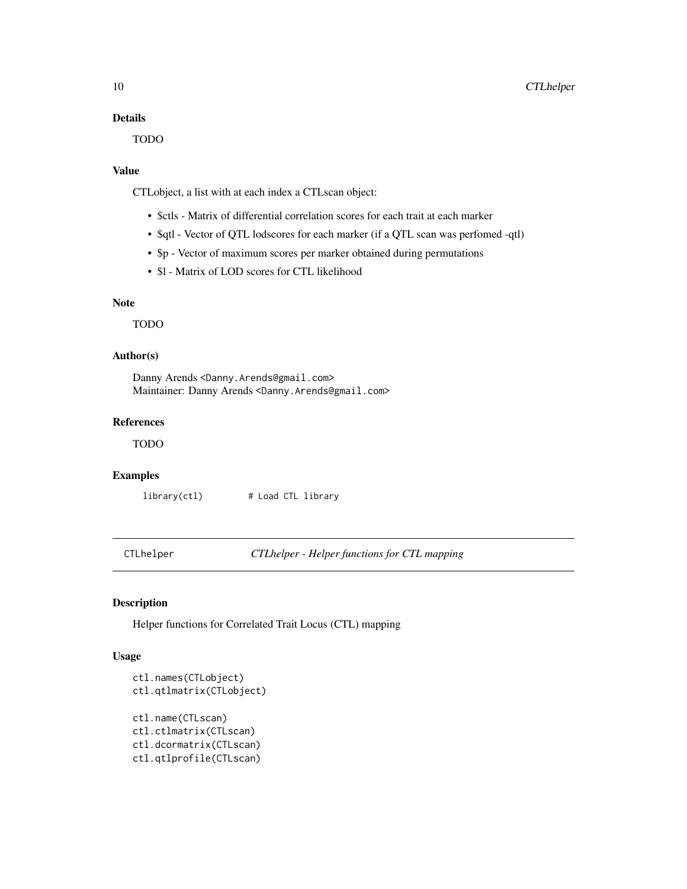## <span id="page-9-0"></span>Details

TODO

## Value

CTLobject, a list with at each index a CTLscan object:

- \$ctls Matrix of differential correlation scores for each trait at each marker
- \$qtl Vector of QTL lodscores for each marker (if a QTL scan was perfomed -qtl)
- \$p Vector of maximum scores per marker obtained during permutations
- \$l Matrix of LOD scores for CTL likelihood

## Note

TODO

#### Author(s)

Danny Arends <Danny.Arends@gmail.com> Maintainer: Danny Arends <Danny.Arends@gmail.com>

## References

TODO

## Examples

library(ctl) # Load CTL library

CTLhelper *CTLhelper - Helper functions for CTL mapping*

## Description

Helper functions for Correlated Trait Locus (CTL) mapping

## Usage

```
ctl.names(CTLobject)
ctl.qtlmatrix(CTLobject)
ctl.name(CTLscan)
ctl.ctlmatrix(CTLscan)
ctl.dcormatrix(CTLscan)
ctl.qtlprofile(CTLscan)
```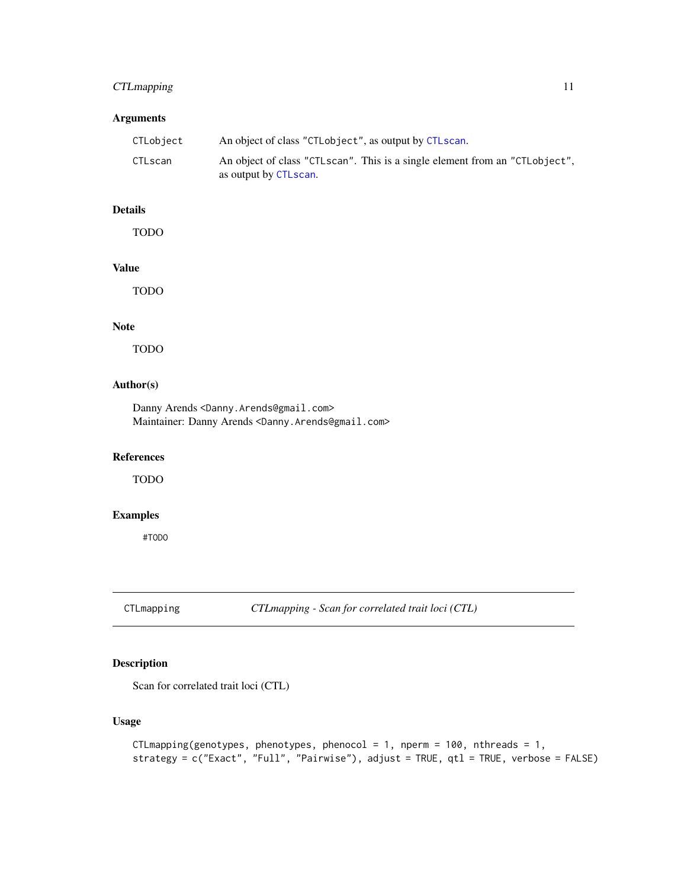## <span id="page-10-0"></span>CTLmapping 11

## Arguments

| CTLobject      | An object of class "CTLobject", as output by CTLscan.                       |
|----------------|-----------------------------------------------------------------------------|
| <b>CTLscan</b> | An object of class "CTLscan". This is a single element from an "CTLobject", |
|                | as output by CTLscan.                                                       |

## Details

TODO

## Value

TODO

## Note

TODO

#### Author(s)

Danny Arends <Danny.Arends@gmail.com> Maintainer: Danny Arends <Danny.Arends@gmail.com>

## References

TODO

## Examples

#TODO

<span id="page-10-1"></span>CTLmapping *CTLmapping - Scan for correlated trait loci (CTL)*

## Description

Scan for correlated trait loci (CTL)

## Usage

```
CTLmapping(genotypes, phenotypes, phenocol = 1, nperm = 100, nthreads = 1,
strategy = c("Exact", "Full", "Pairwise"), adjust = TRUE, qtl = TRUE, verbose = FALSE)
```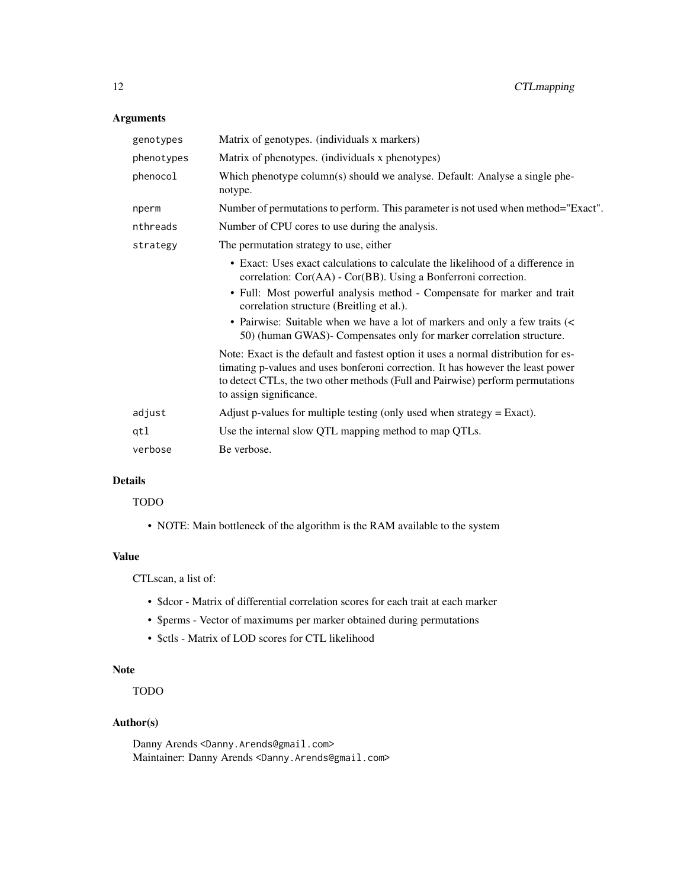## Arguments

| Matrix of genotypes. (individuals x markers)                                                                                                                                                                                                                                        |
|-------------------------------------------------------------------------------------------------------------------------------------------------------------------------------------------------------------------------------------------------------------------------------------|
| Matrix of phenotypes. (individuals x phenotypes)                                                                                                                                                                                                                                    |
| Which phenotype column(s) should we analyse. Default: Analyse a single phe-<br>notype.                                                                                                                                                                                              |
| Number of permutations to perform. This parameter is not used when method="Exact".                                                                                                                                                                                                  |
| Number of CPU cores to use during the analysis.                                                                                                                                                                                                                                     |
| The permutation strategy to use, either                                                                                                                                                                                                                                             |
| • Exact: Uses exact calculations to calculate the likelihood of a difference in<br>correlation: Cor(AA) - Cor(BB). Using a Bonferroni correction.<br>• Full: Most powerful analysis method - Compensate for marker and trait                                                        |
| correlation structure (Breitling et al.).<br>• Pairwise: Suitable when we have a lot of markers and only a few traits (<<br>50) (human GWAS)- Compensates only for marker correlation structure.                                                                                    |
| Note: Exact is the default and fastest option it uses a normal distribution for es-<br>timating p-values and uses bonferoni correction. It has however the least power<br>to detect CTLs, the two other methods (Full and Pairwise) perform permutations<br>to assign significance. |
| Adjust p-values for multiple testing (only used when strategy $=$ Exact).                                                                                                                                                                                                           |
| Use the internal slow QTL mapping method to map QTLs.                                                                                                                                                                                                                               |
| Be verbose.                                                                                                                                                                                                                                                                         |
|                                                                                                                                                                                                                                                                                     |

#### Details

## TODO

• NOTE: Main bottleneck of the algorithm is the RAM available to the system

## Value

CTLscan, a list of:

- \$dcor Matrix of differential correlation scores for each trait at each marker
- \$perms Vector of maximums per marker obtained during permutations
- \$ctls Matrix of LOD scores for CTL likelihood

## Note

TODO

## Author(s)

Danny Arends <Danny.Arends@gmail.com> Maintainer: Danny Arends <Danny.Arends@gmail.com>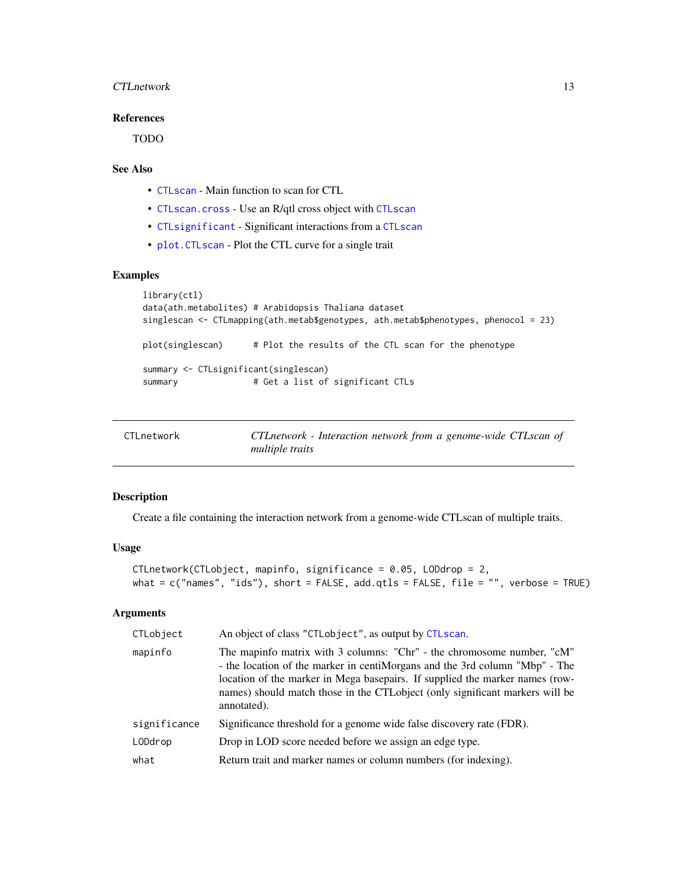## <span id="page-12-0"></span>CTLnetwork 13

## References

TODO

## See Also

- [CTLscan](#page-16-1) Main function to scan for CTL
- [CTLscan.cross](#page-18-1) Use an R/qtl cross object with [CTLscan](#page-16-1)
- [CTLsignificant](#page-20-1) Significant interactions from a [CTLscan](#page-16-1)
- plot. CTLscan Plot the CTL curve for a single trait

#### Examples

```
library(ctl)
data(ath.metabolites) # Arabidopsis Thaliana dataset
singlescan <- CTLmapping(ath.metab$genotypes, ath.metab$phenotypes, phenocol = 23)
plot(singlescan) # Plot the results of the CTL scan for the phenotype
summary <- CTLsignificant(singlescan)
summary # Get a list of significant CTLs
```
<span id="page-12-1"></span>

| CTLnetwork | CTL network - Interaction network from a genome-wide CTL scan of |
|------------|------------------------------------------------------------------|
|            | <i>multiple traits</i>                                           |

#### Description

Create a file containing the interaction network from a genome-wide CTLscan of multiple traits.

#### Usage

```
CTLnetwork(CTLobject, mapinfo, significance = 0.05, LODdrop = 2,
what = c("names", "ids"), short = FALSE, add.qtls = FALSE, file = "", verbose = TRUE)
```
#### Arguments

| CTLobject    | An object of class "CTLobject", as output by CTLscan.                                                                                                                                                                                                                                                                                 |
|--------------|---------------------------------------------------------------------------------------------------------------------------------------------------------------------------------------------------------------------------------------------------------------------------------------------------------------------------------------|
| mapinfo      | The mapinfo matrix with 3 columns: "Chr" - the chromosome number, "cM"<br>- the location of the marker in centiMorgans and the 3rd column "Mbp" - The<br>location of the marker in Mega basepairs. If supplied the marker names (row-<br>names) should match those in the CTL object (only significant markers will be<br>annotated). |
| significance | Significance threshold for a genome wide false discovery rate (FDR).                                                                                                                                                                                                                                                                  |
| LODdrop      | Drop in LOD score needed before we assign an edge type.                                                                                                                                                                                                                                                                               |
| what         | Return trait and marker names or column numbers (for indexing).                                                                                                                                                                                                                                                                       |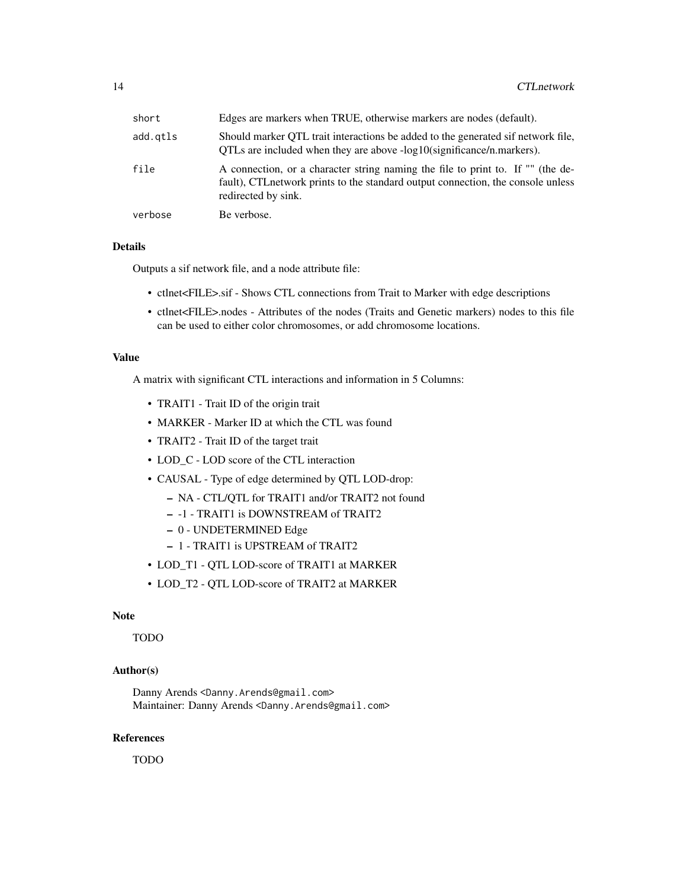| short    | Edges are markers when TRUE, otherwise markers are nodes (default).                                                                                                                        |
|----------|--------------------------------------------------------------------------------------------------------------------------------------------------------------------------------------------|
| add.gtls | Should marker OTL trait interactions be added to the generated sif network file.<br>QTLs are included when they are above -log10(significance/n.markers).                                  |
| file     | A connection, or a character string naming the file to print to. If "" (the de-<br>fault), CTL network prints to the standard output connection, the console unless<br>redirected by sink. |
| verbose  | Be verbose.                                                                                                                                                                                |

## Details

Outputs a sif network file, and a node attribute file:

- ctlnet<FILE>.sif Shows CTL connections from Trait to Marker with edge descriptions
- ctlnet<FILE>.nodes Attributes of the nodes (Traits and Genetic markers) nodes to this file can be used to either color chromosomes, or add chromosome locations.

## Value

A matrix with significant CTL interactions and information in 5 Columns:

- TRAIT1 Trait ID of the origin trait
- MARKER Marker ID at which the CTL was found
- TRAIT2 Trait ID of the target trait
- LOD\_C LOD score of the CTL interaction
- CAUSAL Type of edge determined by QTL LOD-drop:
	- NA CTL/QTL for TRAIT1 and/or TRAIT2 not found
	- -1 TRAIT1 is DOWNSTREAM of TRAIT2
	- 0 UNDETERMINED Edge
	- 1 TRAIT1 is UPSTREAM of TRAIT2
- LOD\_T1 QTL LOD-score of TRAIT1 at MARKER
- LOD\_T2 QTL LOD-score of TRAIT2 at MARKER

#### Note

TODO

## Author(s)

Danny Arends <Danny.Arends@gmail.com> Maintainer: Danny Arends <Danny.Arends@gmail.com>

#### References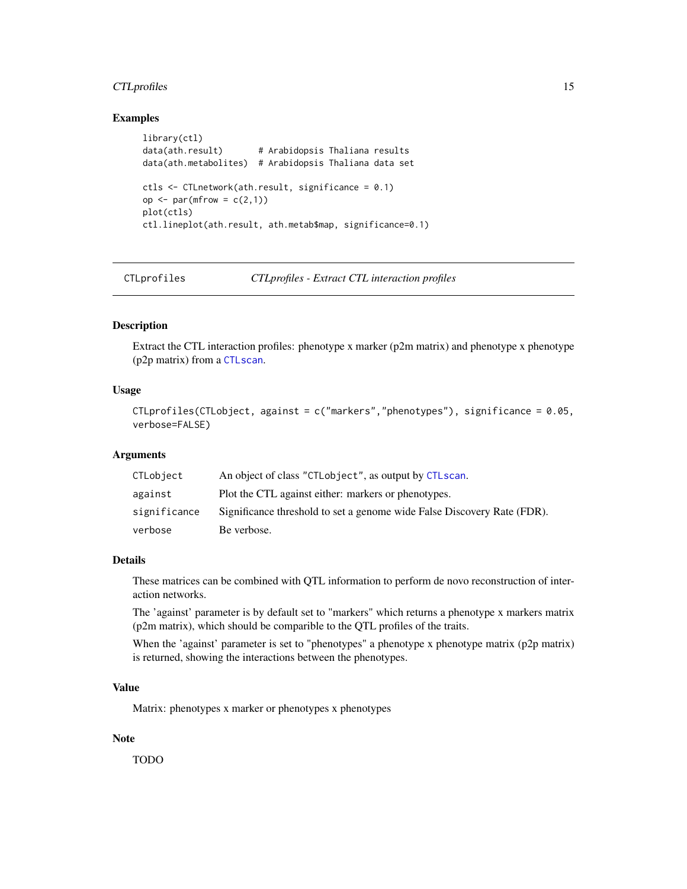## <span id="page-14-0"></span>CTLprofiles 15

## Examples

```
library(ctl)
data(ath.result) # Arabidopsis Thaliana results
data(ath.metabolites) # Arabidopsis Thaliana data set
ctls <- CTLnetwork(ath.result, significance = 0.1)
op \leq par(mfrow = c(2,1))
plot(ctls)
ctl.lineplot(ath.result, ath.metab$map, significance=0.1)
```
CTLprofiles *CTLprofiles - Extract CTL interaction profiles*

#### Description

Extract the CTL interaction profiles: phenotype x marker (p2m matrix) and phenotype x phenotype (p2p matrix) from a [CTLscan](#page-16-1).

## Usage

```
CTLprofiles(CTLobject, against = c("markers","phenotypes"), significance = 0.05,
verbose=FALSE)
```
## Arguments

| CTLobject    | An object of class "CTLobject", as output by CTLscan.                   |
|--------------|-------------------------------------------------------------------------|
| against      | Plot the CTL against either: markers or phenotypes.                     |
| significance | Significance threshold to set a genome wide False Discovery Rate (FDR). |
| verbose      | Be verbose.                                                             |

#### Details

These matrices can be combined with QTL information to perform de novo reconstruction of interaction networks.

The 'against' parameter is by default set to "markers" which returns a phenotype x markers matrix (p2m matrix), which should be comparible to the QTL profiles of the traits.

When the 'against' parameter is set to "phenotypes" a phenotype x phenotype matrix ( $p2p$  matrix) is returned, showing the interactions between the phenotypes.

#### Value

Matrix: phenotypes x marker or phenotypes x phenotypes

#### Note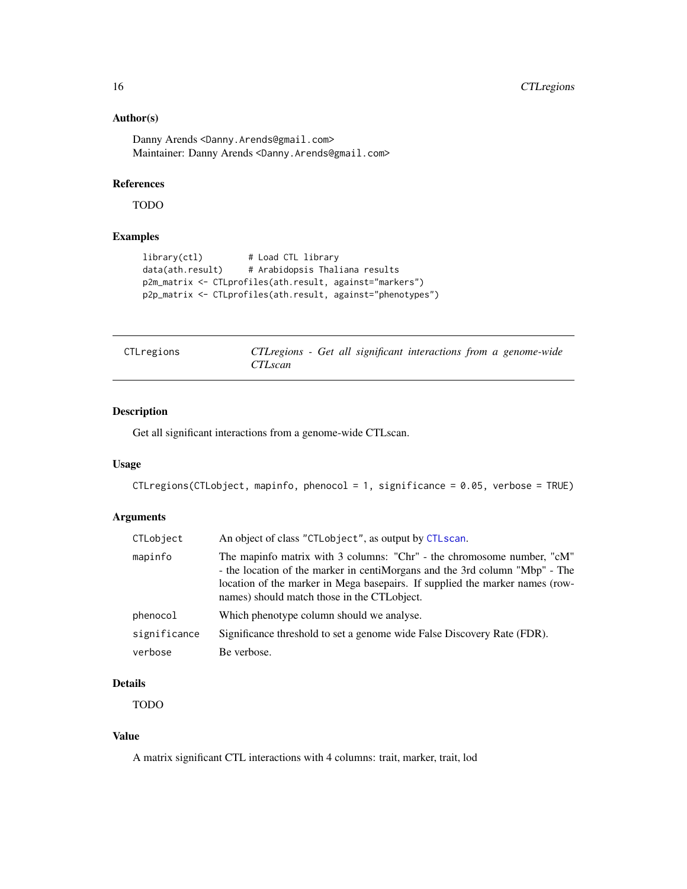## Author(s)

Danny Arends <Danny.Arends@gmail.com> Maintainer: Danny Arends <Danny.Arends@gmail.com>

## References

TODO

## Examples

```
library(ctl) # Load CTL library
data(ath.result) # Arabidopsis Thaliana results
p2m_matrix <- CTLprofiles(ath.result, against="markers")
p2p_matrix <- CTLprofiles(ath.result, against="phenotypes")
```
<span id="page-15-1"></span>

| CTLregions |                |  |  |  | CTL regions - Get all significant interactions from a genome-wide |
|------------|----------------|--|--|--|-------------------------------------------------------------------|
|            | <i>CTLscan</i> |  |  |  |                                                                   |

## Description

Get all significant interactions from a genome-wide CTLscan.

#### Usage

```
CTLregions(CTLobject, mapinfo, phenocol = 1, significance = 0.05, verbose = TRUE)
```
## Arguments

| CTLobject    | An object of class "CTLobject", as output by CTLscan.                                                                                                                                                                                                                                |
|--------------|--------------------------------------------------------------------------------------------------------------------------------------------------------------------------------------------------------------------------------------------------------------------------------------|
| mapinfo      | The mapinfo matrix with 3 columns: "Chr" - the chromosome number, "cM"<br>- the location of the marker in centiMorgans and the 3rd column "Mbp" - The<br>location of the marker in Mega basepairs. If supplied the marker names (row-<br>names) should match those in the CTLobject. |
| phenocol     | Which phenotype column should we analyse.                                                                                                                                                                                                                                            |
| significance | Significance threshold to set a genome wide False Discovery Rate (FDR).                                                                                                                                                                                                              |
| verbose      | Be verbose.                                                                                                                                                                                                                                                                          |

## Details

TODO

## Value

A matrix significant CTL interactions with 4 columns: trait, marker, trait, lod

<span id="page-15-0"></span>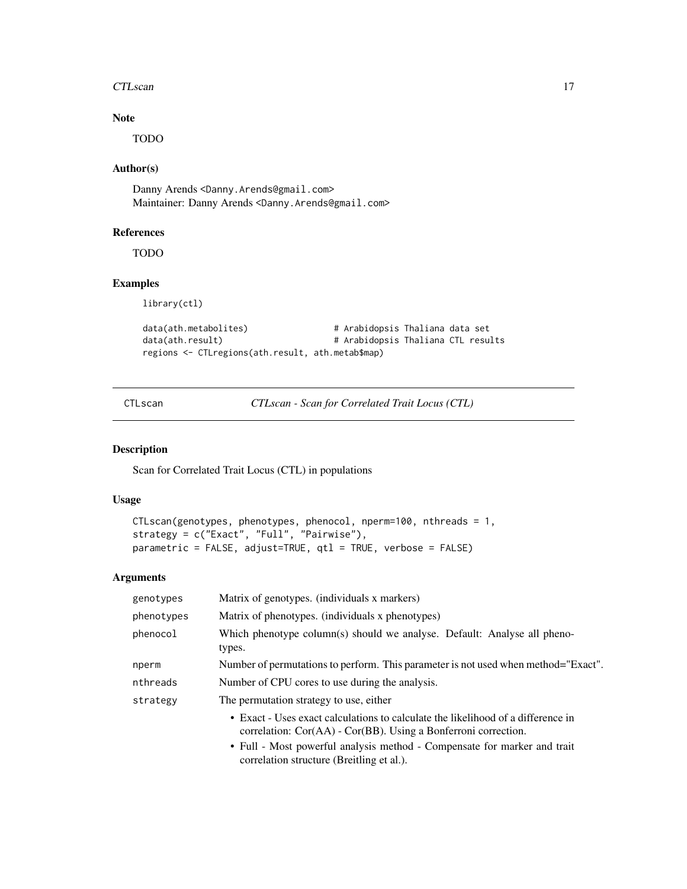#### <span id="page-16-0"></span>CTLscan 17

## Note

TODO

#### Author(s)

Danny Arends <Danny.Arends@gmail.com> Maintainer: Danny Arends <Danny.Arends@gmail.com>

#### References

TODO

## Examples

library(ctl)

```
data(ath.metabolites) # Arabidopsis Thaliana data set
data(ath.result) # Arabidopsis Thaliana CTL results
regions <- CTLregions(ath.result, ath.metab$map)
```
<span id="page-16-1"></span>CTLscan *CTLscan - Scan for Correlated Trait Locus (CTL)*

#### Description

Scan for Correlated Trait Locus (CTL) in populations

## Usage

```
CTLscan(genotypes, phenotypes, phenocol, nperm=100, nthreads = 1,
strategy = c("Exact", "Full", "Pairwise"),
parametric = FALSE, adjust=TRUE, qtl = TRUE, verbose = FALSE)
```
## Arguments

| genotypes  | Matrix of genotypes. (individuals x markers)                                                                                                            |
|------------|---------------------------------------------------------------------------------------------------------------------------------------------------------|
| phenotypes | Matrix of phenotypes. (individuals x phenotypes)                                                                                                        |
| phenocol   | Which phenotype column(s) should we analyse. Default: Analyse all pheno-<br>types.                                                                      |
| nperm      | Number of permutations to perform. This parameter is not used when method="Exact".                                                                      |
| nthreads   | Number of CPU cores to use during the analysis.                                                                                                         |
| strategy   | The permutation strategy to use, either                                                                                                                 |
|            | • Exact - Uses exact calculations to calculate the likelihood of a difference in<br>correlation: $Cor(AA)$ - $Cor(BB)$ . Using a Bonferroni correction. |
|            | • Full - Most powerful analysis method - Compensate for marker and trait<br>correlation structure (Breitling et al.).                                   |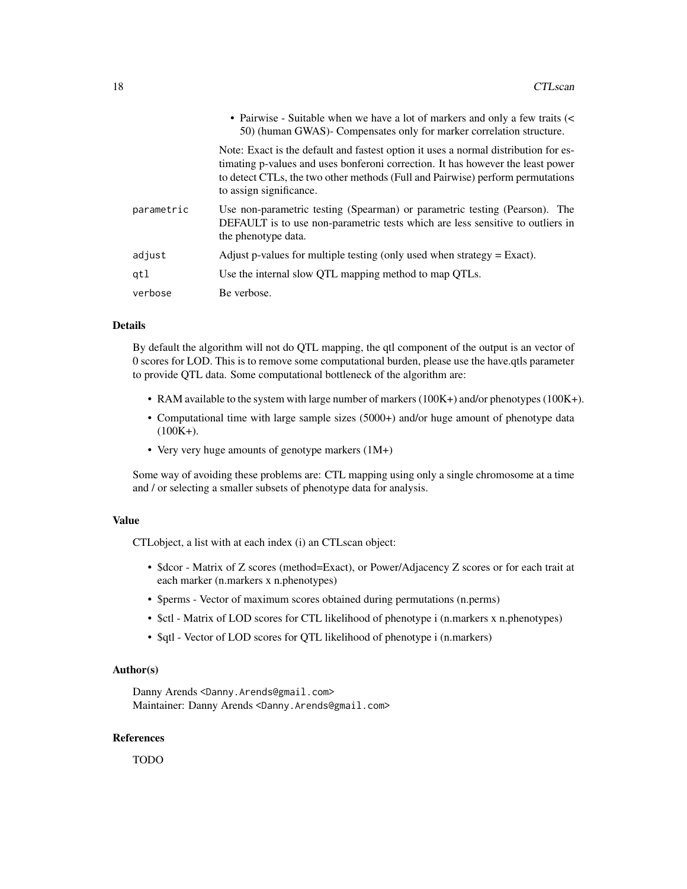|            | • Pairwise - Suitable when we have a lot of markers and only a few traits (<<br>50) (human GWAS)- Compensates only for marker correlation structure.                                                                                                                                |
|------------|-------------------------------------------------------------------------------------------------------------------------------------------------------------------------------------------------------------------------------------------------------------------------------------|
|            | Note: Exact is the default and fastest option it uses a normal distribution for es-<br>timating p-values and uses bonferoni correction. It has however the least power<br>to detect CTLs, the two other methods (Full and Pairwise) perform permutations<br>to assign significance. |
| parametric | Use non-parametric testing (Spearman) or parametric testing (Pearson). The<br>DEFAULT is to use non-parametric tests which are less sensitive to outliers in<br>the phenotype data.                                                                                                 |
| adjust     | Adjust p-values for multiple testing (only used when strategy $=$ Exact).                                                                                                                                                                                                           |
| qtl        | Use the internal slow QTL mapping method to map QTLs.                                                                                                                                                                                                                               |
| verbose    | Be verbose.                                                                                                                                                                                                                                                                         |

#### Details

By default the algorithm will not do QTL mapping, the qtl component of the output is an vector of 0 scores for LOD. This is to remove some computational burden, please use the have.qtls parameter to provide QTL data. Some computational bottleneck of the algorithm are:

- RAM available to the system with large number of markers (100K+) and/or phenotypes (100K+).
- Computational time with large sample sizes (5000+) and/or huge amount of phenotype data  $(100K+).$
- Very very huge amounts of genotype markers (1M+)

Some way of avoiding these problems are: CTL mapping using only a single chromosome at a time and / or selecting a smaller subsets of phenotype data for analysis.

#### Value

CTLobject, a list with at each index (i) an CTLscan object:

- \$dcor Matrix of Z scores (method=Exact), or Power/Adjacency Z scores or for each trait at each marker (n.markers x n.phenotypes)
- \$perms Vector of maximum scores obtained during permutations (n.perms)
- \$ctl Matrix of LOD scores for CTL likelihood of phenotype i (n.markers x n.phenotypes)
- \$qtl Vector of LOD scores for OTL likelihood of phenotype i (n.markers)

#### Author(s)

Danny Arends <Danny.Arends@gmail.com> Maintainer: Danny Arends <Danny.Arends@gmail.com>

#### References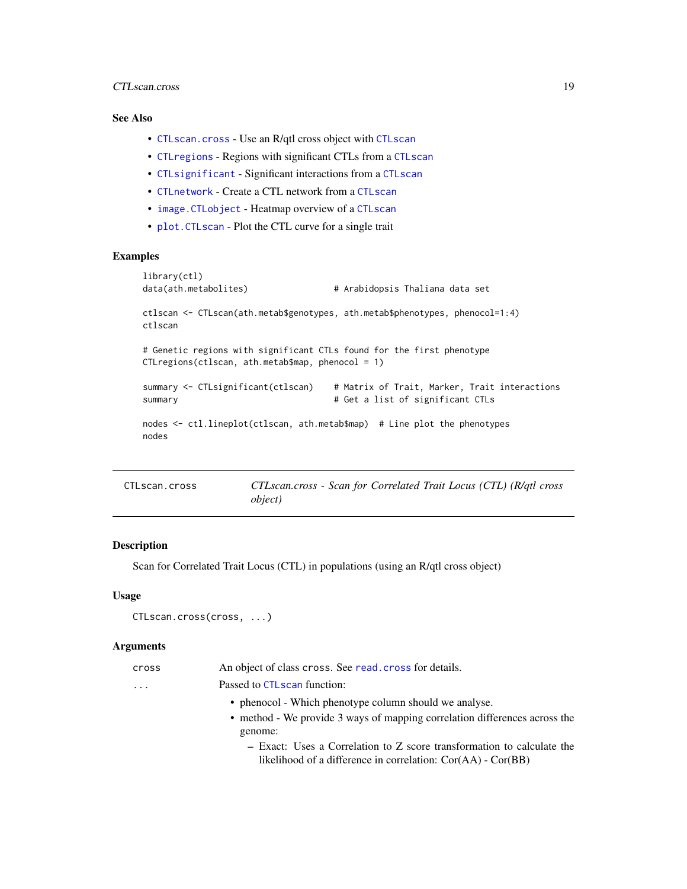#### <span id="page-18-0"></span>CTLscan.cross 19

## See Also

- [CTLscan.cross](#page-18-1) Use an R/qtl cross object with [CTLscan](#page-16-1)
- [CTLregions](#page-15-1) Regions with significant CTLs from a [CTLscan](#page-16-1)
- [CTLsignificant](#page-20-1) Significant interactions from a [CTLscan](#page-16-1)
- [CTLnetwork](#page-12-1) Create a CTL network from a [CTLscan](#page-16-1)
- [image.CTLobject](#page-23-1) Heatmap overview of a [CTLscan](#page-16-1)
- [plot.CTLscan](#page-26-1) Plot the CTL curve for a single trait

## Examples

```
library(ctl)
data(ath.metabolites) # Arabidopsis Thaliana data set
ctlscan <- CTLscan(ath.metab$genotypes, ath.metab$phenotypes, phenocol=1:4)
ctlscan
# Genetic regions with significant CTLs found for the first phenotype
CTLregions(ctlscan, ath.metab$map, phenocol = 1)
summary <- CTLsignificant(ctlscan) # Matrix of Trait, Marker, Trait interactions
summary \qquad # Get a list of significant CTLs
nodes <- ctl.lineplot(ctlscan, ath.metab$map) # Line plot the phenotypes
nodes
```
<span id="page-18-1"></span>

| CTLscan.cross | CTLscan.cross - Scan for Correlated Trait Locus (CTL) (R/qtl cross |
|---------------|--------------------------------------------------------------------|
|               | <i>object</i> )                                                    |

#### Description

Scan for Correlated Trait Locus (CTL) in populations (using an R/qtl cross object)

#### Usage

```
CTLscan.cross(cross, ...)
```
#### Arguments

| cross | An object of class cross. See read, cross for details.                     |
|-------|----------------------------------------------------------------------------|
| .     | Passed to CTL scan function:                                               |
|       | • phenocol - Which phenotype column should we analyse.                     |
|       | • method - We provide 3 ways of mapping correlation differences across the |
|       | genome:                                                                    |
|       | - Exact: Uses a Correlation to Z score transformation to calculate the     |
|       | likelihood of a difference in correlation: $Cor(AA)$ - $Cor(BB)$           |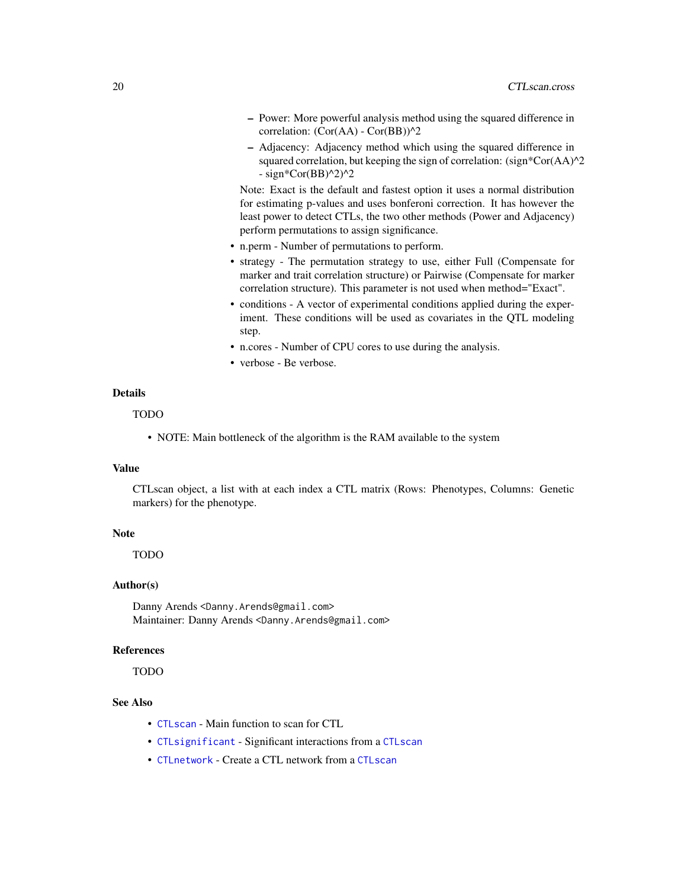- <span id="page-19-0"></span>– Power: More powerful analysis method using the squared difference in correlation:  $(Cor(AA) - Cor(BB))$ <sup>^2</sup>
- Adjacency: Adjacency method which using the squared difference in squared correlation, but keeping the sign of correlation: (sign\*Cor(AA)^2  $-$  sign\*Cor(BB)^2)^2

Note: Exact is the default and fastest option it uses a normal distribution for estimating p-values and uses bonferoni correction. It has however the least power to detect CTLs, the two other methods (Power and Adjacency) perform permutations to assign significance.

- n.perm Number of permutations to perform.
- strategy The permutation strategy to use, either Full (Compensate for marker and trait correlation structure) or Pairwise (Compensate for marker correlation structure). This parameter is not used when method="Exact".
- conditions A vector of experimental conditions applied during the experiment. These conditions will be used as covariates in the QTL modeling step.
- n.cores Number of CPU cores to use during the analysis.
- verbose Be verbose.

#### Details

#### TODO

• NOTE: Main bottleneck of the algorithm is the RAM available to the system

#### Value

CTLscan object, a list with at each index a CTL matrix (Rows: Phenotypes, Columns: Genetic markers) for the phenotype.

#### Note

TODO

#### Author(s)

Danny Arends <Danny.Arends@gmail.com> Maintainer: Danny Arends <Danny.Arends@gmail.com>

#### References

TODO

## See Also

- [CTLscan](#page-16-1) Main function to scan for CTL
- [CTLsignificant](#page-20-1) Significant interactions from a [CTLscan](#page-16-1)
- [CTLnetwork](#page-12-1) Create a CTL network from a [CTLscan](#page-16-1)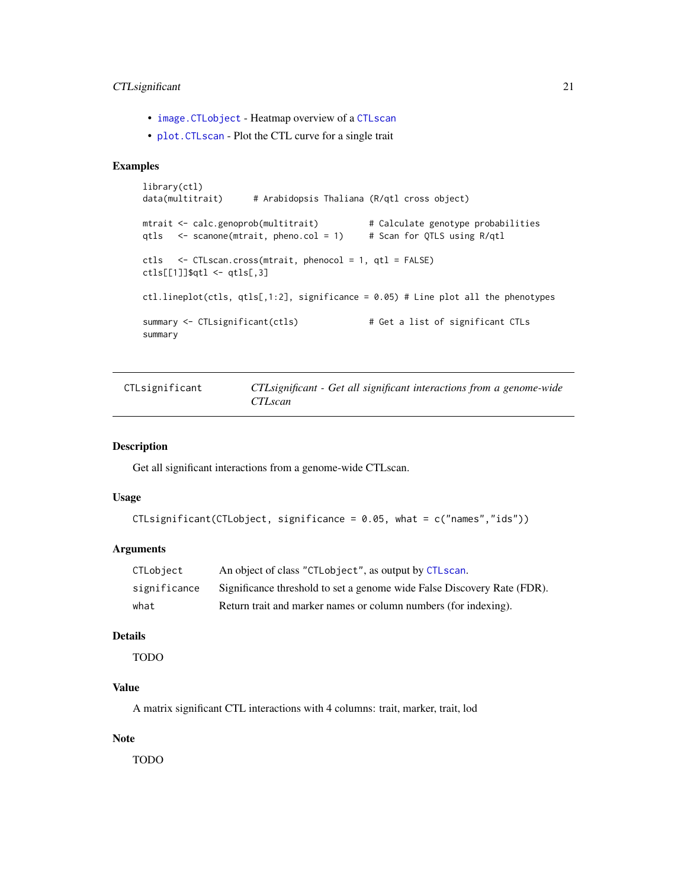## <span id="page-20-0"></span>CTL significant 21

- [image.CTLobject](#page-23-1) Heatmap overview of a [CTLscan](#page-16-1)
- [plot.CTLscan](#page-26-1) Plot the CTL curve for a single trait

## Examples

```
library(ctl)
data(multitrait) # Arabidopsis Thaliana (R/qtl cross object)
mtrait <- calc.genoprob(multitrait) # Calculate genotype probabilities
qtls <- scanone(mtrait, pheno.col = 1) # Scan for QTLS using R/qtl
ctls <- CTLscan.cross(mtrait, phenocol = 1, qtl = FALSE)
ctls[[1]]$qtl <- qtls[,3]
ctl.lineplot(ctls, qtls[,1:2], significance = 0.05) # Line plot all the phenotypes
summary <- CTLsignificant(ctls) # Get a list of significant CTLs
summary
```
<span id="page-20-1"></span>

| CTLsignificant | CTL significant - Get all significant interactions from a genome-wide |
|----------------|-----------------------------------------------------------------------|
|                | <i>CTLscan</i>                                                        |

#### Description

Get all significant interactions from a genome-wide CTLscan.

#### Usage

```
CTLsignificant(CTLobject, significance = 0.05, what = c("names","ids"))
```
## Arguments

| CTLobiect    | An object of class "CTLobject", as output by CTLscan.                   |
|--------------|-------------------------------------------------------------------------|
| significance | Significance threshold to set a genome wide False Discovery Rate (FDR). |
| what         | Return trait and marker names or column numbers (for indexing).         |

## Details

TODO

### Value

A matrix significant CTL interactions with 4 columns: trait, marker, trait, lod

#### Note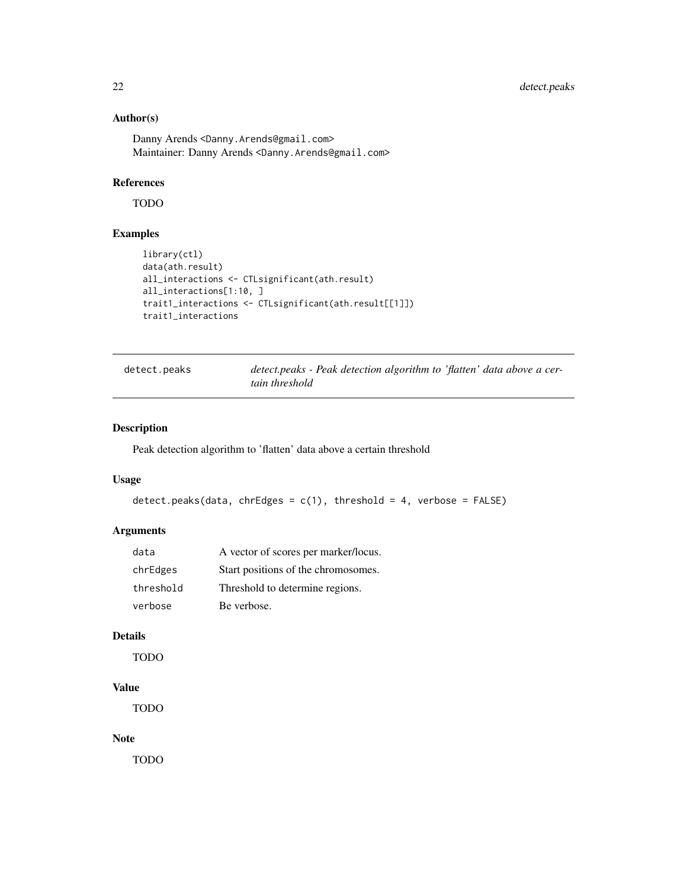## <span id="page-21-0"></span>Author(s)

Danny Arends<Danny.Arends@gmail.com> Maintainer: Danny Arends <Danny.Arends@gmail.com>

## References

TODO

## Examples

```
library(ctl)
data(ath.result)
all_interactions <- CTLsignificant(ath.result)
all_interactions[1:10, ]
trait1_interactions <- CTLsignificant(ath.result[[1]])
trait1_interactions
```

| detect.peaks | detect.peaks - Peak detection algorithm to 'flatten' data above a cer- |
|--------------|------------------------------------------------------------------------|
|              | tain threshold                                                         |

## Description

Peak detection algorithm to 'flatten' data above a certain threshold

#### Usage

```
detect.peaks(data, chrEdges = c(1), threshold = 4, verbose = FALSE)
```
## Arguments

| data      | A vector of scores per marker/locus. |
|-----------|--------------------------------------|
| chrEdges  | Start positions of the chromosomes.  |
| threshold | Threshold to determine regions.      |
| verbose   | Be verbose.                          |

## Details

TODO

## Value

TODO

## Note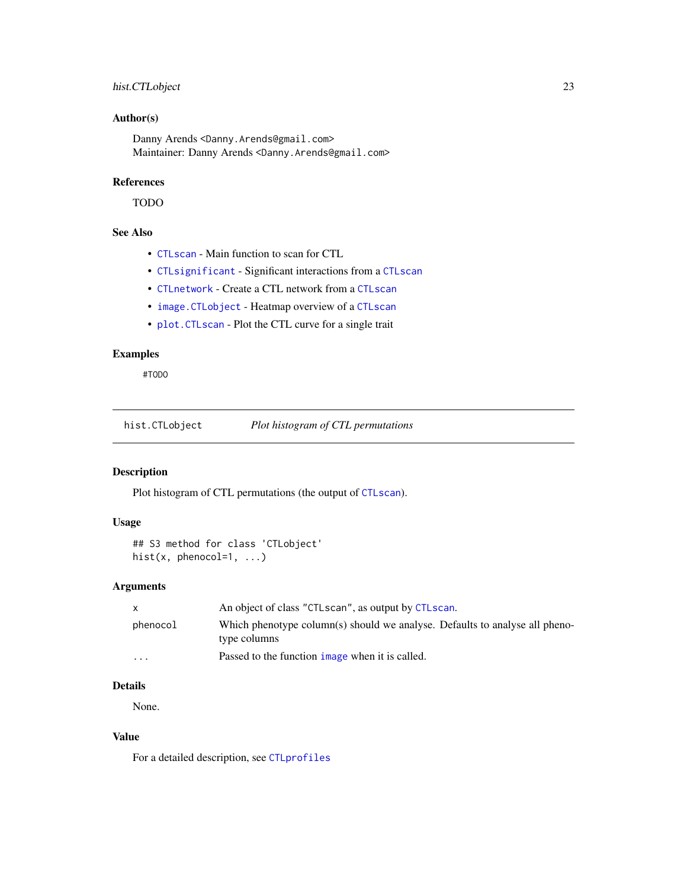## <span id="page-22-0"></span>hist.CTLobject 23

## Author(s)

Danny Arends <Danny.Arends@gmail.com> Maintainer: Danny Arends <Danny.Arends@gmail.com>

## References

TODO

## See Also

- [CTLscan](#page-16-1) Main function to scan for CTL
- [CTLsignificant](#page-20-1) Significant interactions from a [CTLscan](#page-16-1)
- [CTLnetwork](#page-12-1) Create a CTL network from a [CTLscan](#page-16-1)
- [image.CTLobject](#page-23-1) Heatmap overview of a [CTLscan](#page-16-1)
- [plot.CTLscan](#page-26-1) Plot the CTL curve for a single trait

## Examples

#TODO

hist.CTLobject *Plot histogram of CTL permutations*

## Description

Plot histogram of CTL permutations (the output of [CTLscan](#page-16-1)).

## Usage

```
## S3 method for class 'CTLobject'
hist(x, phenocol=1, ...)
```
## Arguments

|          | An object of class "CTLscan", as output by CTLscan.                                         |
|----------|---------------------------------------------------------------------------------------------|
| phenocol | Which phenotype column(s) should we analyse. Defaults to analyse all pheno-<br>type columns |
| $\cdot$  | Passed to the function image when it is called.                                             |

## Details

None.

## Value

For a detailed description, see [CTLprofiles](#page-14-1)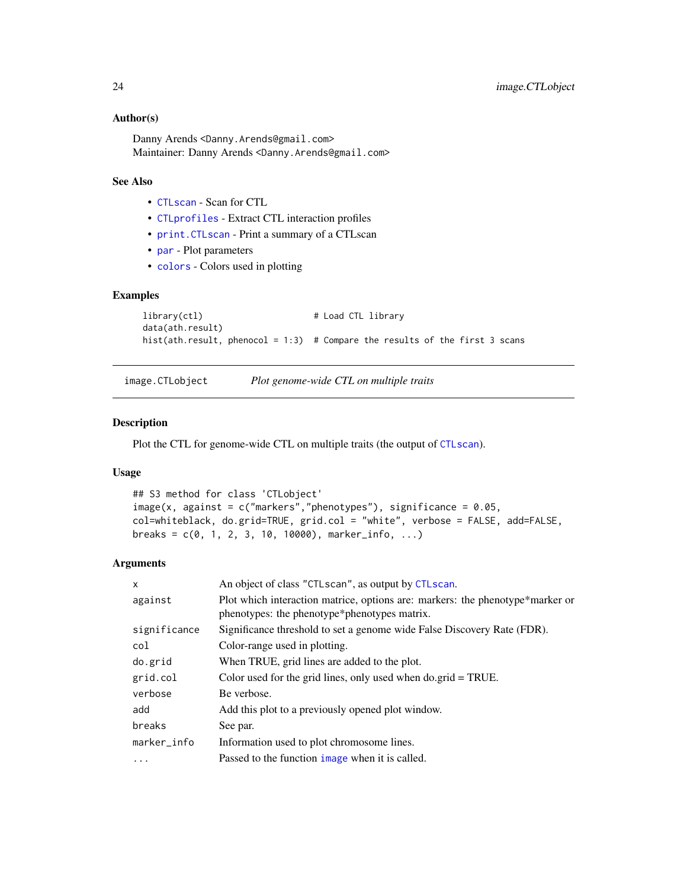#### <span id="page-23-0"></span>Author(s)

Danny Arends <Danny.Arends@gmail.com> Maintainer: Danny Arends <Danny.Arends@gmail.com>

## See Also

- [CTLscan](#page-16-1) Scan for CTL
- [CTLprofiles](#page-14-1) Extract CTL interaction profiles
- [print.CTLscan](#page-30-1) Print a summary of a CTLscan
- [par](#page-0-0) Plot parameters
- [colors](#page-0-0) Colors used in plotting

## Examples

```
library(ctl) \qquad # Load CTL library
data(ath.result)
hist(ath.result, phenocol = 1:3) # Compare the results of the first 3 scans
```
<span id="page-23-1"></span>image.CTLobject *Plot genome-wide CTL on multiple traits*

#### Description

Plot the CTL for genome-wide CTL on multiple traits (the output of [CTLscan](#page-16-1)).

#### Usage

```
## S3 method for class 'CTLobject'
image(x, against = c("markers", "phenotypes"), significance = 0.05,col=whiteblack, do.grid=TRUE, grid.col = "white", verbose = FALSE, add=FALSE,
breaks = c(0, 1, 2, 3, 10, 10000), marker_info, ...)
```
#### Arguments

| X            | An object of class "CTLscan", as output by CTLscan.                                                                           |
|--------------|-------------------------------------------------------------------------------------------------------------------------------|
| against      | Plot which interaction matrice, options are: markers: the phenotype*marker or<br>phenotypes: the phenotype*phenotypes matrix. |
| significance | Significance threshold to set a genome wide False Discovery Rate (FDR).                                                       |
| col          | Color-range used in plotting.                                                                                                 |
| do.grid      | When TRUE, grid lines are added to the plot.                                                                                  |
| grid.col     | Color used for the grid lines, only used when $do.\text{grid} = \text{TRUE}$ .                                                |
| verbose      | Be verbose.                                                                                                                   |
| add          | Add this plot to a previously opened plot window.                                                                             |
| breaks       | See par.                                                                                                                      |
| marker_info  | Information used to plot chromosome lines.                                                                                    |
| $\ddotsc$    | Passed to the function image when it is called.                                                                               |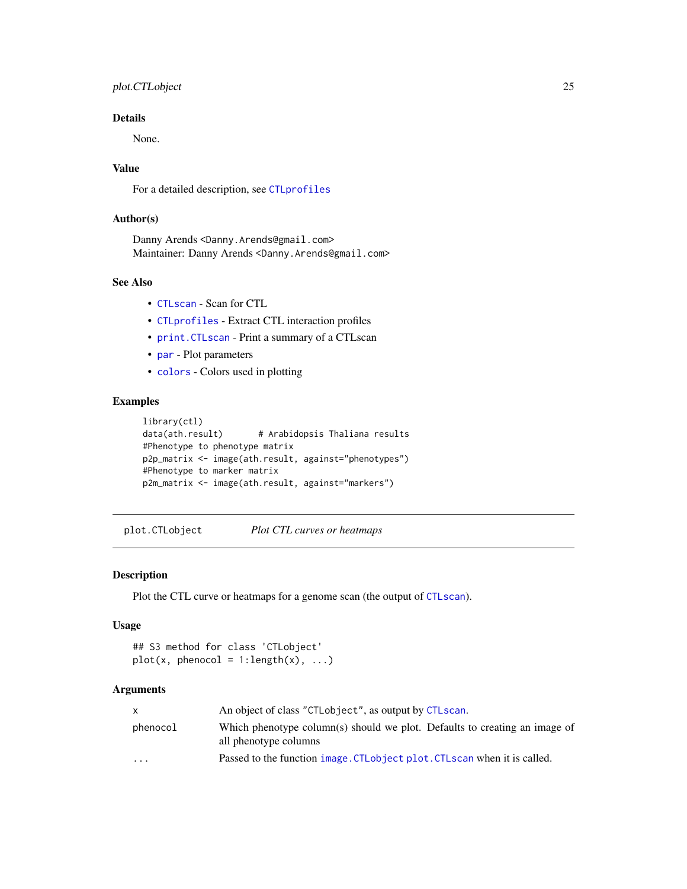## <span id="page-24-0"></span>plot.CTLobject 25

## Details

None.

## Value

For a detailed description, see [CTLprofiles](#page-14-1)

#### Author(s)

Danny Arends <Danny.Arends@gmail.com> Maintainer: Danny Arends <Danny.Arends@gmail.com>

## See Also

- [CTLscan](#page-16-1) Scan for CTL
- [CTLprofiles](#page-14-1) Extract CTL interaction profiles
- [print.CTLscan](#page-30-1) Print a summary of a CTLscan
- [par](#page-0-0) Plot parameters
- [colors](#page-0-0) Colors used in plotting

## Examples

```
library(ctl)
data(ath.result) # Arabidopsis Thaliana results
#Phenotype to phenotype matrix
p2p_matrix <- image(ath.result, against="phenotypes")
#Phenotype to marker matrix
p2m_matrix <- image(ath.result, against="markers")
```
plot.CTLobject *Plot CTL curves or heatmaps*

#### Description

Plot the CTL curve or heatmaps for a genome scan (the output of [CTLscan](#page-16-1)).

#### Usage

```
## S3 method for class 'CTLobject'
plot(x, phenocol = 1:length(x), ...)
```
## Arguments

|                         | An object of class "CTLobject", as output by CTLscan.                                               |
|-------------------------|-----------------------------------------------------------------------------------------------------|
| phenocol                | Which phenotype column(s) should we plot. Defaults to creating an image of<br>all phenotype columns |
| $\cdot$ $\cdot$ $\cdot$ | Passed to the function image. CTL object plot. CTL scan when it is called.                          |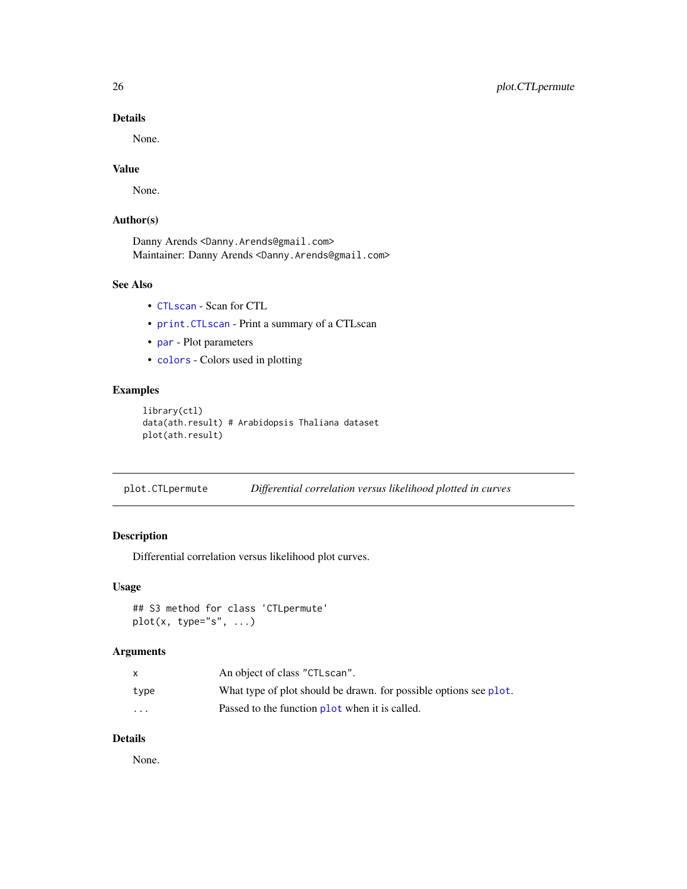## Details

None.

## Value

None.

## Author(s)

Danny Arends <Danny.Arends@gmail.com> Maintainer: Danny Arends <Danny.Arends@gmail.com>

## See Also

- [CTLscan](#page-16-1) Scan for CTL
- [print.CTLscan](#page-30-1) Print a summary of a CTLscan
- [par](#page-0-0) Plot parameters
- [colors](#page-0-0) Colors used in plotting

## Examples

```
library(ctl)
data(ath.result) # Arabidopsis Thaliana dataset
plot(ath.result)
```
plot.CTLpermute *Differential correlation versus likelihood plotted in curves*

## Description

Differential correlation versus likelihood plot curves.

#### Usage

```
## S3 method for class 'CTLpermute'
plot(x, type="s", ...)
```
## Arguments

|                      | An object of class "CTLscan".                                     |
|----------------------|-------------------------------------------------------------------|
| type                 | What type of plot should be drawn, for possible options see plot. |
| $\ddot{\phantom{0}}$ | Passed to the function plot when it is called.                    |

## Details

None.

<span id="page-25-0"></span>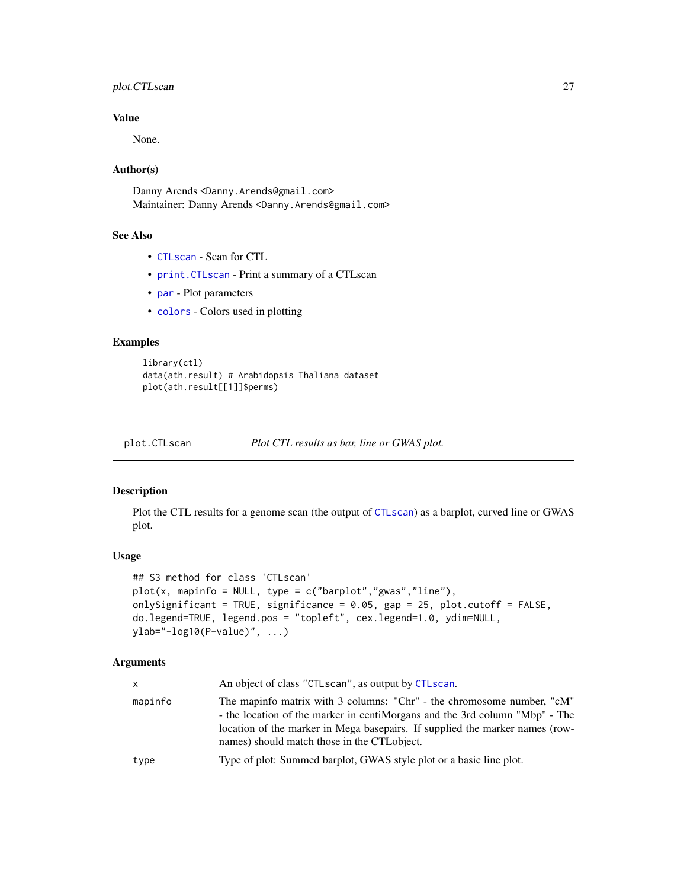## <span id="page-26-0"></span>plot.CTLscan 27

## Value

None.

## Author(s)

Danny Arends <Danny.Arends@gmail.com> Maintainer: Danny Arends <Danny.Arends@gmail.com>

## See Also

- [CTLscan](#page-16-1) Scan for CTL
- [print.CTLscan](#page-30-1) Print a summary of a CTLscan
- [par](#page-0-0) Plot parameters
- [colors](#page-0-0) Colors used in plotting

## Examples

```
library(ctl)
data(ath.result) # Arabidopsis Thaliana dataset
plot(ath.result[[1]]$perms)
```
<span id="page-26-1"></span>

plot.CTLscan *Plot CTL results as bar, line or GWAS plot.*

## Description

Plot the CTL results for a genome scan (the output of [CTLscan](#page-16-1)) as a barplot, curved line or GWAS plot.

## Usage

```
## S3 method for class 'CTLscan'
plot(x, mapinfo = NULL, type = c("barplot","gwas","line"),
onlySignificant = TRUE, significance = 0.05, gap = 25, plot.cutoff = FALSE,
do.legend=TRUE, legend.pos = "topleft", cex.legend=1.0, ydim=NULL,
ylab="-log10(P-value)", ...)
```
## Arguments

| x       | An object of class "CTLscan", as output by CTLscan.                                                                                                                                                                                                                                   |
|---------|---------------------------------------------------------------------------------------------------------------------------------------------------------------------------------------------------------------------------------------------------------------------------------------|
| mapinfo | The mapinfo matrix with 3 columns: "Chr" - the chromosome number, "cM"<br>- the location of the marker in centiMorgans and the 3rd column "Mbp" - The<br>location of the marker in Mega basepairs. If supplied the marker names (row-<br>names) should match those in the CTL object. |
| type    | Type of plot: Summed barplot, GWAS style plot or a basic line plot.                                                                                                                                                                                                                   |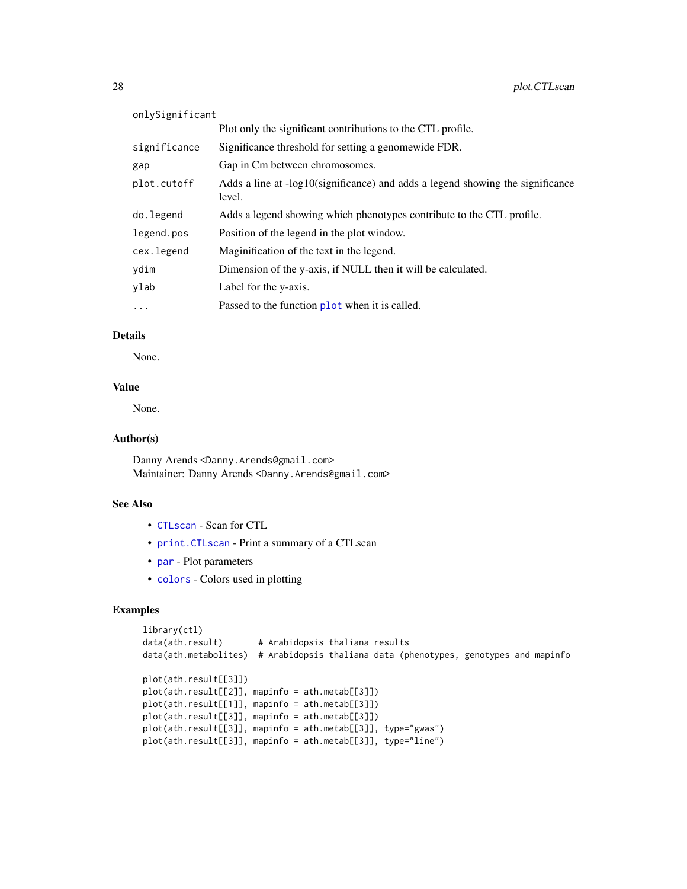| onlySignificant |                                                                                          |
|-----------------|------------------------------------------------------------------------------------------|
|                 | Plot only the significant contributions to the CTL profile.                              |
| significance    | Significance threshold for setting a genomewide FDR.                                     |
| gap             | Gap in Cm between chromosomes.                                                           |
| plot.cutoff     | Adds a line at -log10(significance) and adds a legend showing the significance<br>level. |
| do.legend       | Adds a legend showing which phenotypes contribute to the CTL profile.                    |
| legend.pos      | Position of the legend in the plot window.                                               |
| cex.legend      | Maginification of the text in the legend.                                                |
| ydim            | Dimension of the y-axis, if NULL then it will be calculated.                             |
| ylab            | Label for the y-axis.                                                                    |
| $\cdots$        | Passed to the function plot when it is called.                                           |

## Details

None.

## Value

None.

## Author(s)

Danny Arends <Danny.Arends@gmail.com> Maintainer: Danny Arends <Danny.Arends@gmail.com>

#### See Also

- [CTLscan](#page-16-1) Scan for CTL
- [print.CTLscan](#page-30-1) Print a summary of a CTLscan
- [par](#page-0-0) Plot parameters
- [colors](#page-0-0) Colors used in plotting

## Examples

```
library(ctl)
data(ath.result) # Arabidopsis thaliana results
data(ath.metabolites) # Arabidopsis thaliana data (phenotypes, genotypes and mapinfo
plot(ath.result[[3]])
plot(ath.result[[2]], mapinfo = ath.metab[[3]])
plot(ath.result[[1]], mapinfo = ath.metab[[3]])
plot(ath.result[[3]], mapinfo = ath.metab[[3]])
plot(ath.result[[3]], mapinfo = ath.metab[[3]], type="gwas")
plot(ath.result[[3]], mapinfo = ath.metab[[3]], type="line")
```
<span id="page-27-0"></span>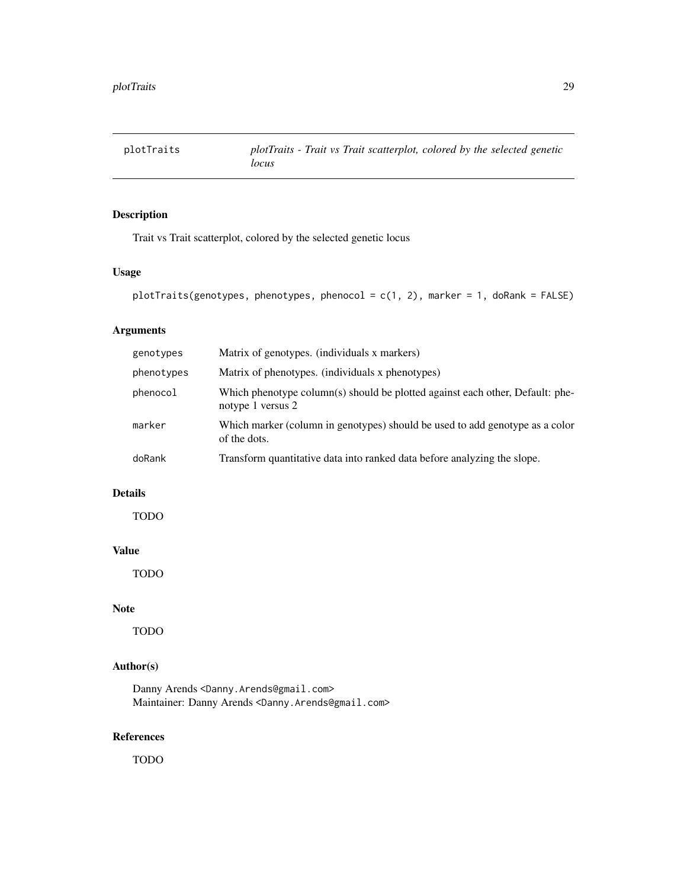<span id="page-28-0"></span>

## Description

Trait vs Trait scatterplot, colored by the selected genetic locus

## Usage

```
plotTraits(genotypes, phenotypes, phenocol = c(1, 2), marker = 1, doRank = FALSE)
```
## Arguments

| genotypes  | Matrix of genotypes. (individuals x markers)                                                       |
|------------|----------------------------------------------------------------------------------------------------|
| phenotypes | Matrix of phenotypes. (individuals x phenotypes)                                                   |
| phenocol   | Which phenotype column(s) should be plotted against each other, Default: phe-<br>notype 1 versus 2 |
| marker     | Which marker (column in genotypes) should be used to add genotype as a color<br>of the dots.       |
| doRank     | Transform quantitative data into ranked data before analyzing the slope.                           |

## Details

TODO

## Value

TODO

## Note

TODO

## Author(s)

Danny Arends <Danny.Arends@gmail.com> Maintainer: Danny Arends <Danny.Arends@gmail.com>

## References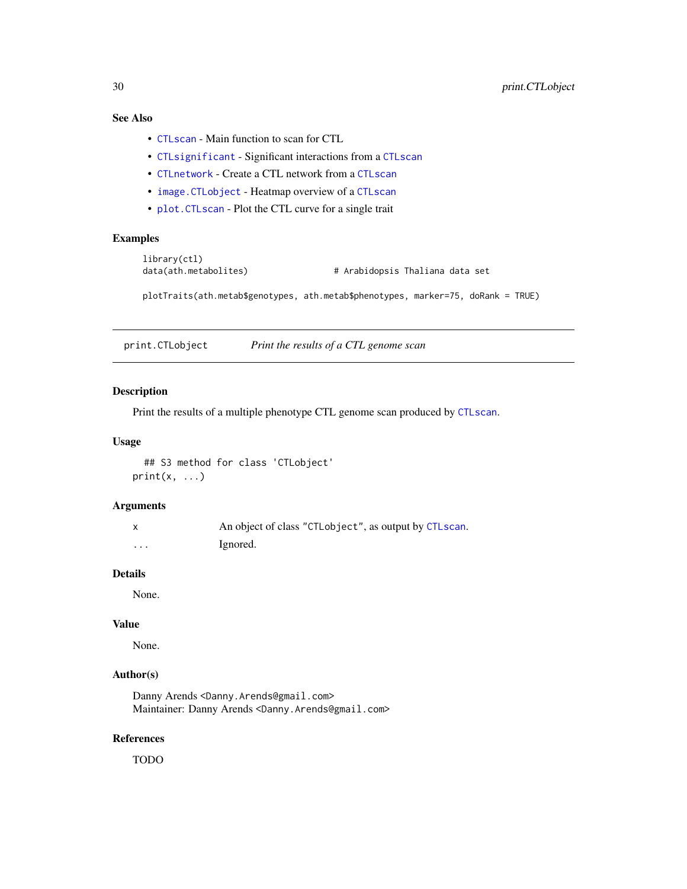## <span id="page-29-0"></span>See Also

- [CTLscan](#page-16-1) Main function to scan for CTL
- [CTLsignificant](#page-20-1) Significant interactions from a [CTLscan](#page-16-1)
- [CTLnetwork](#page-12-1) Create a CTL network from a [CTLscan](#page-16-1)
- [image.CTLobject](#page-23-1) Heatmap overview of a [CTLscan](#page-16-1)
- [plot.CTLscan](#page-26-1) Plot the CTL curve for a single trait

## Examples

```
library(ctl)
data(ath.metabolites) # Arabidopsis Thaliana data set
plotTraits(ath.metab$genotypes, ath.metab$phenotypes, marker=75, doRank = TRUE)
```
print.CTLobject *Print the results of a CTL genome scan*

## Description

Print the results of a multiple phenotype CTL genome scan produced by [CTLscan](#page-16-1).

#### Usage

```
## S3 method for class 'CTLobject'
print(x, \ldots)
```
#### Arguments

|          | An object of class "CTLobject", as output by CTLscan. |
|----------|-------------------------------------------------------|
| $\cdots$ | Ignored.                                              |

## Details

None.

## Value

None.

## Author(s)

Danny Arends <Danny.Arends@gmail.com> Maintainer: Danny Arends <Danny.Arends@gmail.com>

#### References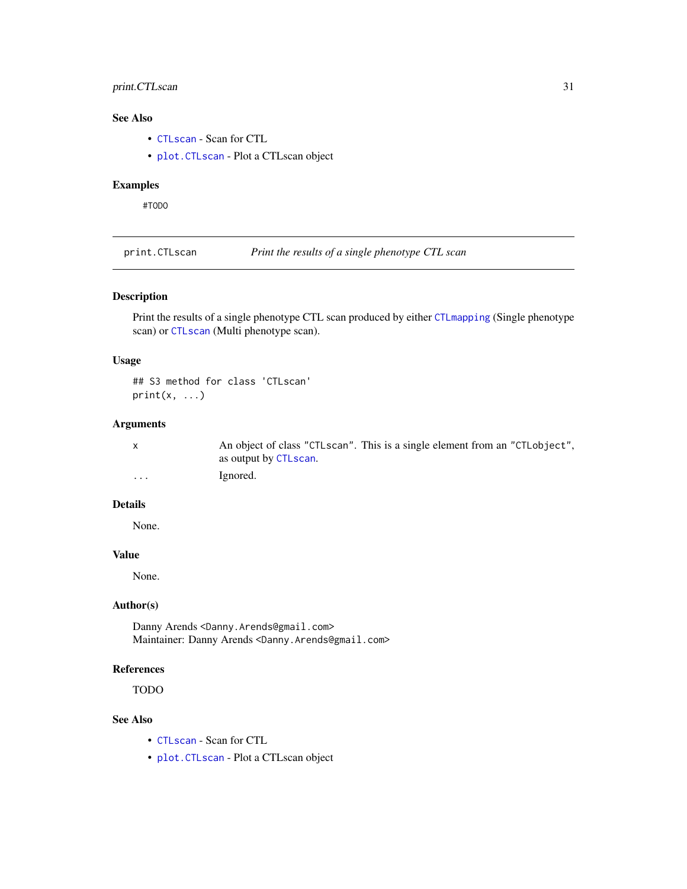## <span id="page-30-0"></span>print.CTLscan 31

## See Also

- [CTLscan](#page-16-1) Scan for CTL
- [plot.CTLscan](#page-26-1) Plot a CTLscan object

## Examples

#TODO

<span id="page-30-1"></span>print.CTLscan *Print the results of a single phenotype CTL scan*

## Description

Print the results of a single phenotype CTL scan produced by either [CTLmapping](#page-10-1) (Single phenotype scan) or [CTLscan](#page-16-1) (Multi phenotype scan).

## Usage

## S3 method for class 'CTLscan'  $print(x, \ldots)$ 

## Arguments

|          | An object of class "CTLscan". This is a single element from an "CTLobject", |
|----------|-----------------------------------------------------------------------------|
|          | as output by CTLscan.                                                       |
| $\cdots$ | Ignored.                                                                    |

#### Details

None.

## Value

None.

## Author(s)

Danny Arends <Danny.Arends@gmail.com> Maintainer: Danny Arends <Danny.Arends@gmail.com>

## References

TODO

## See Also

- [CTLscan](#page-16-1) Scan for CTL
- [plot.CTLscan](#page-26-1) Plot a CTLscan object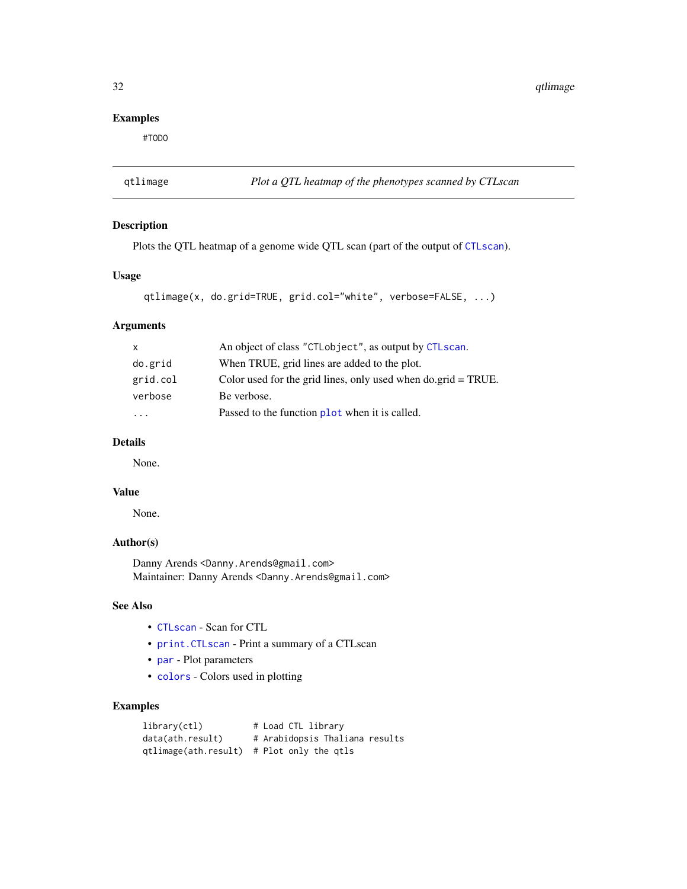32 qtlimage and the state of the state of the state of the state of the state of the state of the state of the state of the state of the state of the state of the state of the state of the state of the state of the state o

## Examples

#TODO

qtlimage *Plot a QTL heatmap of the phenotypes scanned by CTLscan*

## Description

Plots the QTL heatmap of a genome wide QTL scan (part of the output of [CTLscan](#page-16-1)).

## Usage

```
qtlimage(x, do.grid=TRUE, grid.col="white", verbose=FALSE, ...)
```
#### Arguments

| X                       | An object of class "CTLobject", as output by CTLscan.                          |
|-------------------------|--------------------------------------------------------------------------------|
| do.grid                 | When TRUE, grid lines are added to the plot.                                   |
| grid.col                | Color used for the grid lines, only used when $do.\text{grid} = \text{TRUE}$ . |
| verbose                 | Be verbose.                                                                    |
| $\cdot$ $\cdot$ $\cdot$ | Passed to the function plot when it is called.                                 |

## Details

None.

#### Value

None.

## Author(s)

Danny Arends <Danny.Arends@gmail.com> Maintainer: Danny Arends <Danny.Arends@gmail.com>

## See Also

- [CTLscan](#page-16-1) Scan for CTL
- [print.CTLscan](#page-30-1) Print a summary of a CTLscan
- [par](#page-0-0) Plot parameters
- [colors](#page-0-0) Colors used in plotting

## Examples

```
library(ctl) # Load CTL library
data(ath.result) # Arabidopsis Thaliana results
qtlimage(ath.result) # Plot only the qtls
```
<span id="page-31-0"></span>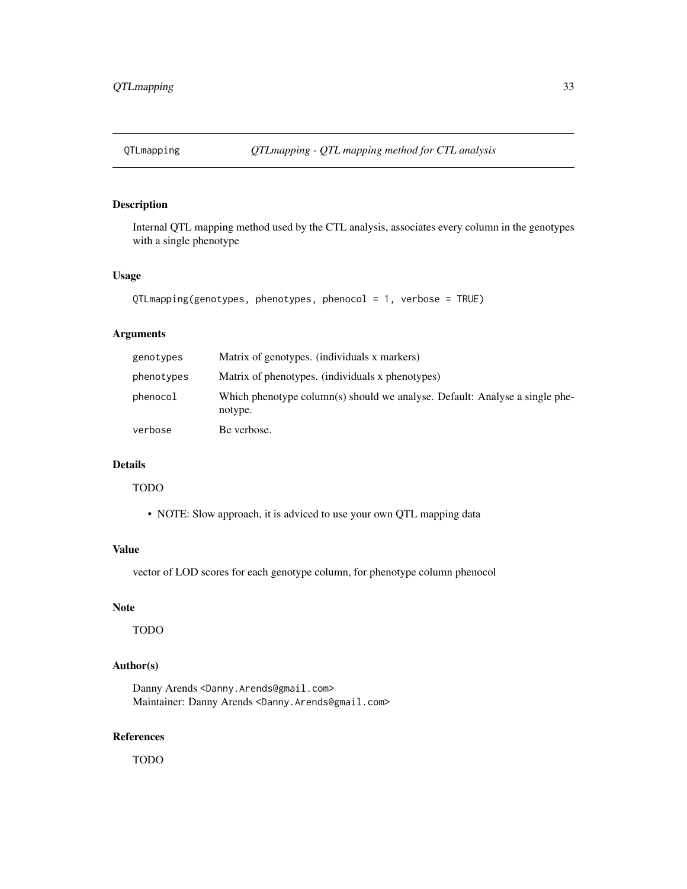## <span id="page-32-0"></span>Description

Internal QTL mapping method used by the CTL analysis, associates every column in the genotypes with a single phenotype

#### Usage

```
QTLmapping(genotypes, phenotypes, phenocol = 1, verbose = TRUE)
```
#### Arguments

| genotypes  | Matrix of genotypes. (individuals x markers)                                           |
|------------|----------------------------------------------------------------------------------------|
| phenotypes | Matrix of phenotypes. (individuals x phenotypes)                                       |
| phenocol   | Which phenotype column(s) should we analyse. Default: Analyse a single phe-<br>notype. |
| verbose    | Be verbose.                                                                            |

## Details

## TODO

• NOTE: Slow approach, it is adviced to use your own QTL mapping data

## Value

vector of LOD scores for each genotype column, for phenotype column phenocol

#### Note

TODO

## Author(s)

Danny Arends <Danny.Arends@gmail.com> Maintainer: Danny Arends <Danny.Arends@gmail.com>

## References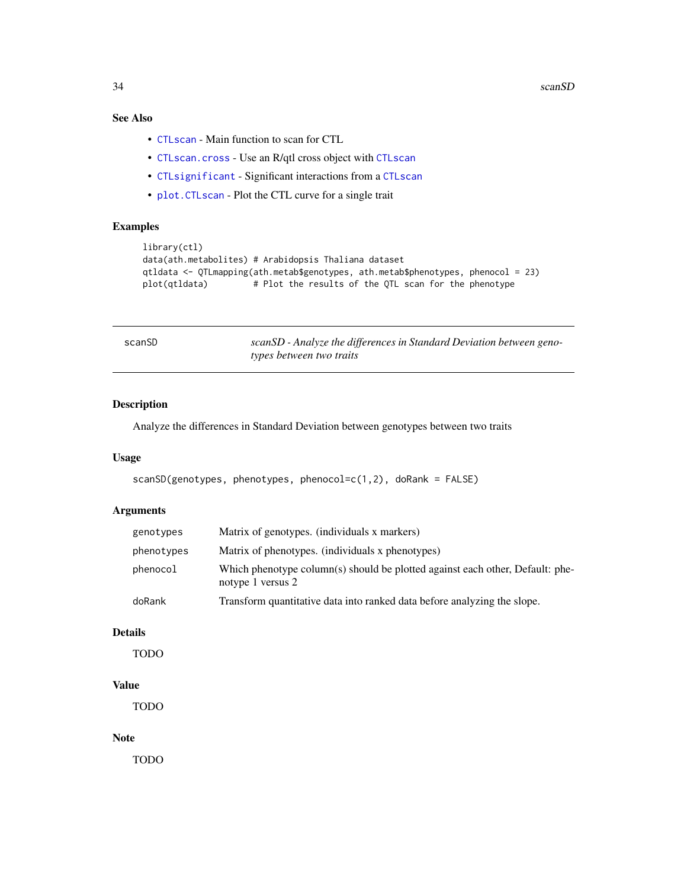<span id="page-33-0"></span>34 scanSD scanSD scanSD scanSD scanSD scanSD scanSD scanSD scanSD scanSD scanSD scanSD scanSD scanSD scanSD scanSD scanSD scanSD scanSD scanSD scanSD scanSD scanSD scanSD scanSD scanSD scanSD scanSD scanSD scanSD scanSD sc

## See Also

- [CTLscan](#page-16-1) Main function to scan for CTL
- [CTLscan.cross](#page-18-1) Use an R/qtl cross object with [CTLscan](#page-16-1)
- [CTLsignificant](#page-20-1) Significant interactions from a [CTLscan](#page-16-1)
- [plot.CTLscan](#page-26-1) Plot the CTL curve for a single trait

## Examples

```
library(ctl)
data(ath.metabolites) # Arabidopsis Thaliana dataset
qtldata <- QTLmapping(ath.metab$genotypes, ath.metab$phenotypes, phenocol = 23)
plot(qtldata) # Plot the results of the QTL scan for the phenotype
```

| scanSD | scanSD - Analyze the differences in Standard Deviation between geno- |
|--------|----------------------------------------------------------------------|
|        | types between two traits                                             |

## Description

Analyze the differences in Standard Deviation between genotypes between two traits

## Usage

scanSD(genotypes, phenotypes, phenocol=c(1,2), doRank = FALSE)

## Arguments

| genotypes  | Matrix of genotypes. (individuals x markers)                                                       |
|------------|----------------------------------------------------------------------------------------------------|
| phenotypes | Matrix of phenotypes. (individuals x phenotypes)                                                   |
| phenocol   | Which phenotype column(s) should be plotted against each other, Default: phe-<br>notype 1 versus 2 |
| doRank     | Transform quantitative data into ranked data before analyzing the slope.                           |

### Details

TODO

## Value

TODO

#### Note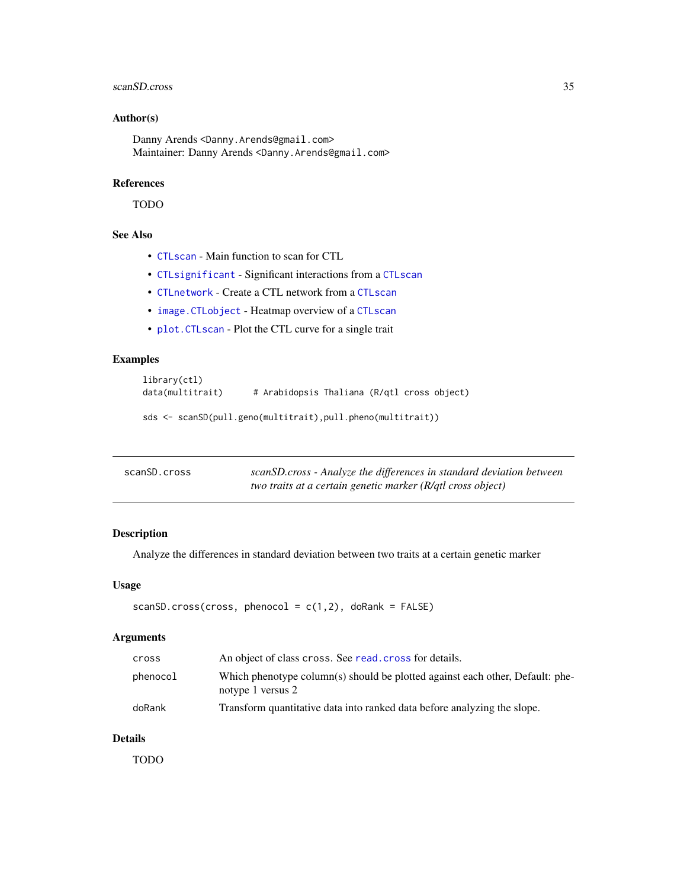#### <span id="page-34-0"></span>scanSD.cross 35

## Author(s)

Danny Arends <Danny.Arends@gmail.com> Maintainer: Danny Arends <Danny.Arends@gmail.com>

#### References

TODO

## See Also

- [CTLscan](#page-16-1) Main function to scan for CTL
- [CTLsignificant](#page-20-1) Significant interactions from a [CTLscan](#page-16-1)
- [CTLnetwork](#page-12-1) Create a CTL network from a [CTLscan](#page-16-1)
- [image.CTLobject](#page-23-1) Heatmap overview of a [CTLscan](#page-16-1)
- [plot.CTLscan](#page-26-1) Plot the CTL curve for a single trait

## Examples

```
library(ctl)
data(multitrait) # Arabidopsis Thaliana (R/qtl cross object)
sds <- scanSD(pull.geno(multitrait),pull.pheno(multitrait))
```

| scanSD.cross | scanSD.cross - Analyze the differences in standard deviation between |
|--------------|----------------------------------------------------------------------|
|              | two traits at a certain genetic marker (R/qtl cross object)          |

#### Description

Analyze the differences in standard deviation between two traits at a certain genetic marker

#### Usage

```
scanSD.cross(cross, phenocol = c(1,2), doRank = FALSE)
```
#### Arguments

| cross    | An object of class cross. See read, cross for details.                                             |
|----------|----------------------------------------------------------------------------------------------------|
| phenocol | Which phenotype column(s) should be plotted against each other, Default: phe-<br>notype 1 versus 2 |
| doRank   | Transform quantitative data into ranked data before analyzing the slope.                           |

## Details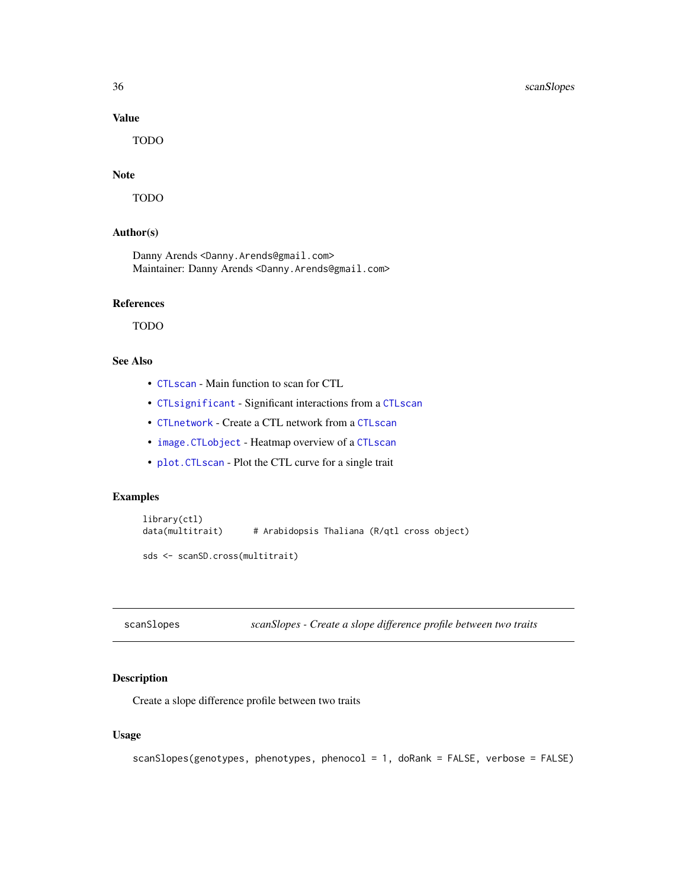## Value

TODO

## Note

TODO

#### Author(s)

Danny Arends <Danny.Arends@gmail.com> Maintainer: Danny Arends <Danny.Arends@gmail.com>

#### References

TODO

## See Also

- [CTLscan](#page-16-1) Main function to scan for CTL
- [CTLsignificant](#page-20-1) Significant interactions from a [CTLscan](#page-16-1)
- [CTLnetwork](#page-12-1) Create a CTL network from a [CTLscan](#page-16-1)
- [image.CTLobject](#page-23-1) Heatmap overview of a [CTLscan](#page-16-1)
- [plot.CTLscan](#page-26-1) Plot the CTL curve for a single trait

## Examples

```
library(ctl)
data(multitrait) # Arabidopsis Thaliana (R/qtl cross object)
sds <- scanSD.cross(multitrait)
```
scanSlopes *scanSlopes - Create a slope difference profile between two traits*

## Description

Create a slope difference profile between two traits

## Usage

```
scanSlopes(genotypes, phenotypes, phenocol = 1, doRank = FALSE, verbose = FALSE)
```
<span id="page-35-0"></span>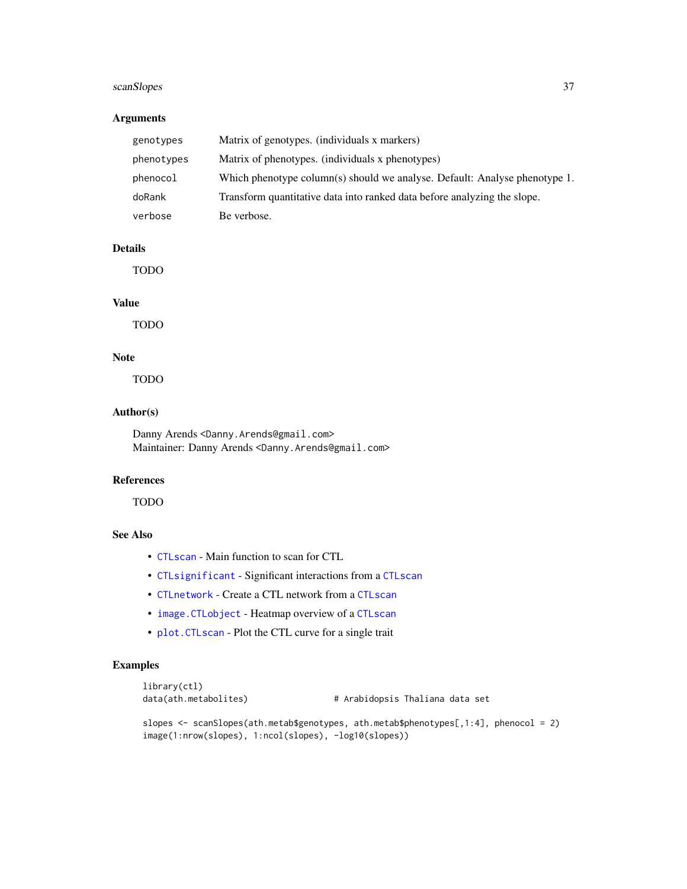## scanSlopes 37

## Arguments

| genotypes  | Matrix of genotypes. (individuals x markers)                               |
|------------|----------------------------------------------------------------------------|
| phenotypes | Matrix of phenotypes. (individuals x phenotypes)                           |
| phenocol   | Which phenotype column(s) should we analyse. Default: Analyse phenotype 1. |
| doRank     | Transform quantitative data into ranked data before analyzing the slope.   |
| verbose    | Be verbose.                                                                |

## Details

TODO

#### Value

TODO

## Note

TODO

#### Author(s)

Danny Arends <Danny.Arends@gmail.com> Maintainer: Danny Arends <Danny.Arends@gmail.com>

## References

TODO

## See Also

- [CTLscan](#page-16-1) Main function to scan for CTL
- [CTLsignificant](#page-20-1) Significant interactions from a [CTLscan](#page-16-1)
- [CTLnetwork](#page-12-1) Create a CTL network from a [CTLscan](#page-16-1)
- [image.CTLobject](#page-23-1) Heatmap overview of a [CTLscan](#page-16-1)
- [plot.CTLscan](#page-26-1) Plot the CTL curve for a single trait

## Examples

```
library(ctl)
```
data(ath.metabolites) # Arabidopsis Thaliana data set

slopes <- scanSlopes(ath.metab\$genotypes, ath.metab\$phenotypes[,1:4], phenocol = 2) image(1:nrow(slopes), 1:ncol(slopes), -log10(slopes))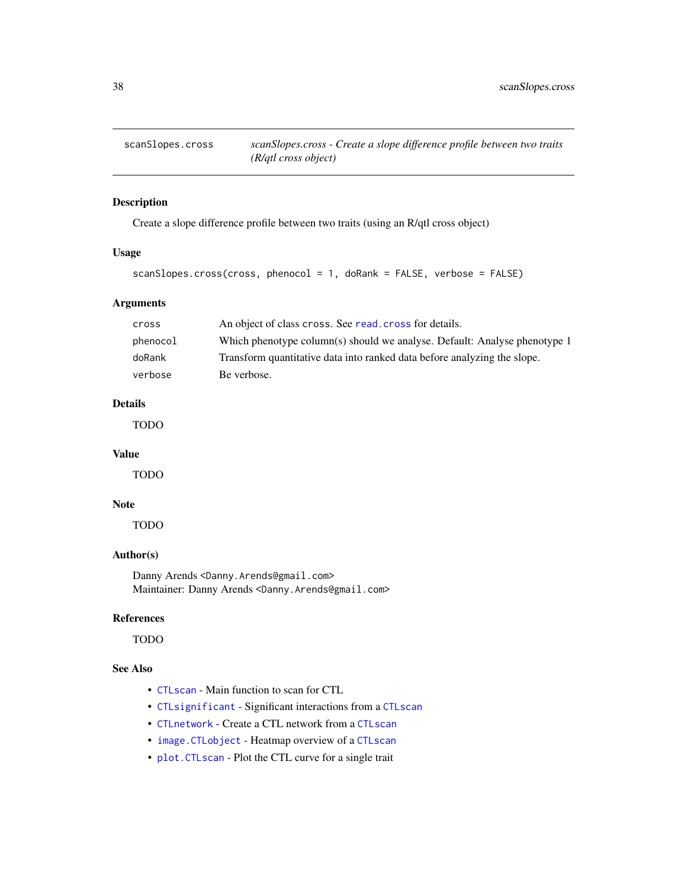<span id="page-37-0"></span>scanSlopes.cross *scanSlopes.cross - Create a slope difference profile between two traits (R/qtl cross object)*

## Description

Create a slope difference profile between two traits (using an R/qtl cross object)

## Usage

```
scanSlopes.cross(cross, phenocol = 1, doRank = FALSE, verbose = FALSE)
```
## Arguments

| cross    | An object of class cross. See read, cross for details.                    |
|----------|---------------------------------------------------------------------------|
| phenocol | Which phenotype column(s) should we analyse. Default: Analyse phenotype 1 |
| doRank   | Transform quantitative data into ranked data before analyzing the slope.  |
| verbose  | Be verbose.                                                               |

## Details

TODO

#### Value

TODO

## Note

TODO

## Author(s)

Danny Arends <Danny.Arends@gmail.com> Maintainer: Danny Arends <Danny.Arends@gmail.com>

#### References

TODO

## See Also

- [CTLscan](#page-16-1) Main function to scan for CTL
- [CTLsignificant](#page-20-1) Significant interactions from a [CTLscan](#page-16-1)
- [CTLnetwork](#page-12-1) Create a CTL network from a [CTLscan](#page-16-1)
- [image.CTLobject](#page-23-1) Heatmap overview of a [CTLscan](#page-16-1)
- [plot.CTLscan](#page-26-1) Plot the CTL curve for a single trait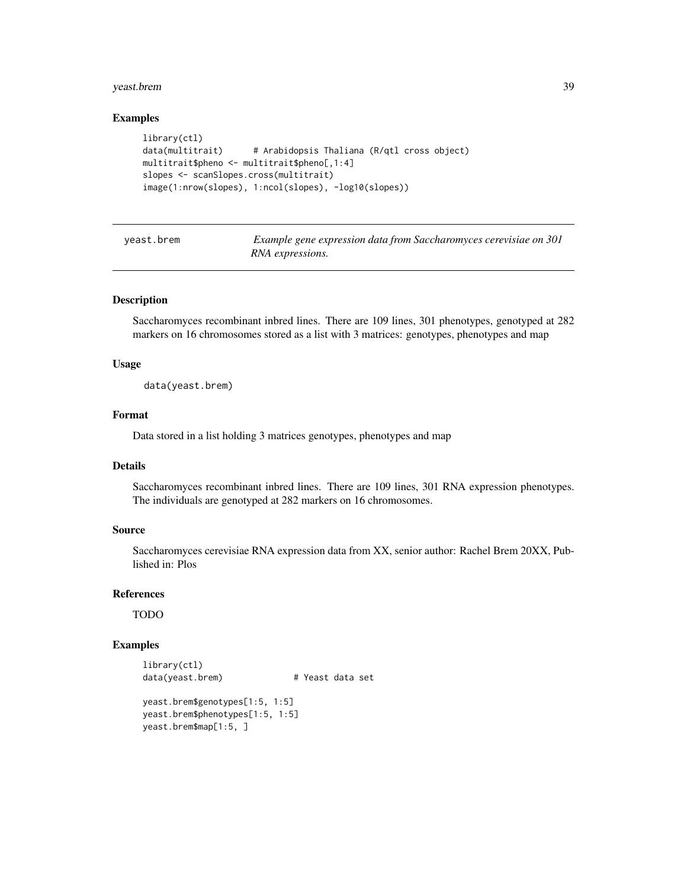#### <span id="page-38-0"></span>yeast.brem 39

## Examples

```
library(ctl)
data(multitrait) # Arabidopsis Thaliana (R/qtl cross object)
multitrait$pheno <- multitrait$pheno[,1:4]
slopes <- scanSlopes.cross(multitrait)
image(1:nrow(slopes), 1:ncol(slopes), -log10(slopes))
```
<span id="page-38-1"></span>

| yeast.brem | Example gene expression data from Saccharomyces cerevisiae on 301 |
|------------|-------------------------------------------------------------------|
|            | RNA expressions.                                                  |

#### Description

Saccharomyces recombinant inbred lines. There are 109 lines, 301 phenotypes, genotyped at 282 markers on 16 chromosomes stored as a list with 3 matrices: genotypes, phenotypes and map

## Usage

data(yeast.brem)

## Format

Data stored in a list holding 3 matrices genotypes, phenotypes and map

### Details

Saccharomyces recombinant inbred lines. There are 109 lines, 301 RNA expression phenotypes. The individuals are genotyped at 282 markers on 16 chromosomes.

## Source

Saccharomyces cerevisiae RNA expression data from XX, senior author: Rachel Brem 20XX, Published in: Plos

## References

TODO

#### Examples

```
library(ctl)
data(yeast.brem) # Yeast data set
```

```
yeast.brem$genotypes[1:5, 1:5]
yeast.brem$phenotypes[1:5, 1:5]
yeast.brem$map[1:5, ]
```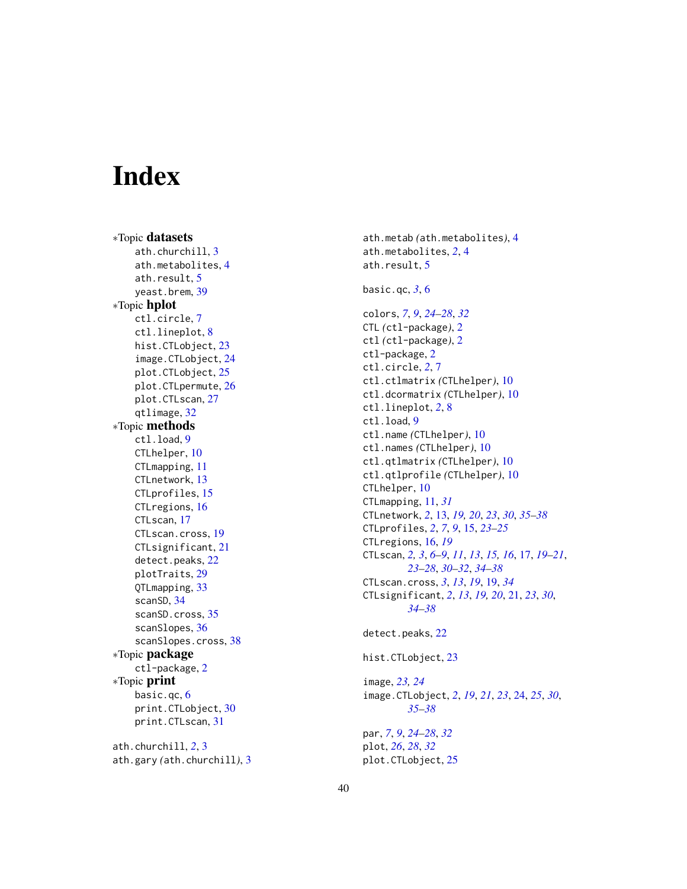# <span id="page-39-0"></span>Index

∗Topic datasets ath.churchill , [3](#page-2-0) ath.metabolites , [4](#page-3-0) ath.result, [5](#page-4-0) yeast.brem , [39](#page-38-0) ∗Topic hplot ctl.circle , [7](#page-6-0) ctl.lineplot , [8](#page-7-0) hist.CTLobject, [23](#page-22-0) image.CTLobject , [24](#page-23-0) plot.CTLobject , [25](#page-24-0) plot.CTLpermute , [26](#page-25-0) plot.CTLscan , [27](#page-26-0) qtlimage , [32](#page-31-0) ∗Topic methods ctl.load , [9](#page-8-0) CTLhelper , [10](#page-9-0) CTLmapping , [11](#page-10-0) CTLnetwork , [13](#page-12-0) CTLprofiles, [15](#page-14-0) CTLregions, [16](#page-15-0) CTLscan, [17](#page-16-0) CTLscan.cross , [19](#page-18-0) CTLsignificant , [21](#page-20-0) detect.peaks , [22](#page-21-0) plotTraits , [29](#page-28-0) QTLmapping , [33](#page-32-0) scanSD , [34](#page-33-0) scanSD.cross, [35](#page-34-0) scanSlopes , [36](#page-35-0) scanSlopes.cross , [38](#page-37-0) ∗Topic package ctl-package, [2](#page-1-0) ∗Topic print basic.qc , [6](#page-5-0) print.CTLobject , [30](#page-29-0) print.CTLscan , [31](#page-30-0) ath.churchill , *[2](#page-1-0)* , [3](#page-2-0)

ath.gary *(*ath.churchill *)* , [3](#page-2-0)

ath.metab *(*ath.metabolites *)* , [4](#page-3-0) ath.metabolites , *[2](#page-1-0)* , [4](#page-3-0) ath.result, <mark>[5](#page-4-0)</mark> basic.qc , *[3](#page-2-0)* , [6](#page-5-0) colors , *[7](#page-6-0)* , *[9](#page-8-0)* , *[24](#page-23-0) [–28](#page-27-0)* , *[32](#page-31-0)* CTL *(*ctl-package *)* , [2](#page-1-0) ctl *(*ctl-package *)* , [2](#page-1-0) ctl-package, [2](#page-1-0) ctl.circle , *[2](#page-1-0)* , [7](#page-6-0) ctl.ctlmatrix *(*CTLhelper *)* , [10](#page-9-0) ctl.dcormatrix *(*CTLhelper *)* , [10](#page-9-0) ctl.lineplot , *[2](#page-1-0)* , [8](#page-7-0) ctl.load , [9](#page-8-0) ctl.name *(*CTLhelper *)* , [10](#page-9-0) ctl.names *(*CTLhelper *)* , [10](#page-9-0) ctl.qtlmatrix *(*CTLhelper *)* , [10](#page-9-0) ctl.qtlprofile *(*CTLhelper *)* , [10](#page-9-0) CTLhelper , [10](#page-9-0) CTLmapping , [11](#page-10-0) , *[31](#page-30-0)* CTLnetwork , *[2](#page-1-0)* , [13](#page-12-0) , *[19](#page-18-0) , [20](#page-19-0)* , *[23](#page-22-0)* , *[30](#page-29-0)* , *[35](#page-34-0) [–38](#page-37-0)* CTLprofiles , *[2](#page-1-0)* , *[7](#page-6-0)* , *[9](#page-8-0)* , [15](#page-14-0) , *[23](#page-22-0) [–25](#page-24-0)* CTLregions , [16](#page-15-0) , *[19](#page-18-0)* CTLscan , *[2](#page-1-0) , [3](#page-2-0)* , *[6–](#page-5-0) [9](#page-8-0)* , *[11](#page-10-0)* , *[13](#page-12-0)* , *[15](#page-14-0) , [16](#page-15-0)* , [17](#page-16-0) , *[19](#page-18-0) [–21](#page-20-0)* , *[23](#page-22-0) [–28](#page-27-0)* , *[30](#page-29-0)[–32](#page-31-0)* , *[34](#page-33-0) [–38](#page-37-0)* CTLscan.cross , *[3](#page-2-0)* , *[13](#page-12-0)* , *[19](#page-18-0)* , [19](#page-18-0) , *[34](#page-33-0)* CTLsignificant , *[2](#page-1-0)* , *[13](#page-12-0)* , *[19](#page-18-0) , [20](#page-19-0)* , [21](#page-20-0) , *[23](#page-22-0)* , *[30](#page-29-0)* , *[34](#page-33-0) [–38](#page-37-0)* detect.peaks, [22](#page-21-0) hist.CTLobject , [23](#page-22-0) image , *[23](#page-22-0) , [24](#page-23-0)* image.CTLobject, [2](#page-1-0), [19](#page-18-0), [21](#page-20-0), [23](#page-22-0), [24](#page-23-0), [25](#page-24-0), [30](#page-29-0), *[35](#page-34-0) [–38](#page-37-0)* par , *[7](#page-6-0)* , *[9](#page-8-0)* , *[24](#page-23-0) [–28](#page-27-0)* , *[32](#page-31-0)* plot , *[26](#page-25-0)* , *[28](#page-27-0)* , *[32](#page-31-0)*

plot.CTLobject , [25](#page-24-0)